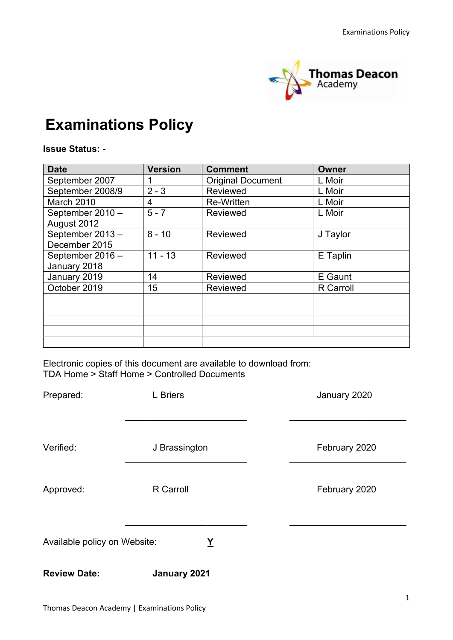

# Examinations Policy

#### Issue Status: -

| <b>Date</b>      | <b>Version</b> | <b>Comment</b>           | <b>Owner</b>     |
|------------------|----------------|--------------------------|------------------|
| September 2007   |                | <b>Original Document</b> | L Moir           |
| September 2008/9 | $2 - 3$        | Reviewed                 | L Moir           |
| March 2010       | 4              | <b>Re-Written</b>        | L Moir           |
| September 2010 - | $5 - 7$        | <b>Reviewed</b>          | L Moir           |
| August 2012      |                |                          |                  |
| September 2013-  | $8 - 10$       | <b>Reviewed</b>          | J Taylor         |
| December 2015    |                |                          |                  |
| September 2016 - | $11 - 13$      | <b>Reviewed</b>          | E Taplin         |
| January 2018     |                |                          |                  |
| January 2019     | 14             | <b>Reviewed</b>          | E Gaunt          |
| October 2019     | 15             | Reviewed                 | <b>R</b> Carroll |
|                  |                |                          |                  |
|                  |                |                          |                  |
|                  |                |                          |                  |
|                  |                |                          |                  |
|                  |                |                          |                  |

Electronic copies of this document are available to download from: TDA Home > Staff Home > Controlled Documents

| Prepared:                                      | <b>L</b> Briers | January 2020  |
|------------------------------------------------|-----------------|---------------|
| Verified:                                      | J Brassington   | February 2020 |
| Approved:                                      | R Carroll       | February 2020 |
| Available policy on Website:<br>$\overline{X}$ |                 |               |
| <b>Review Date:</b>                            | January 2021    |               |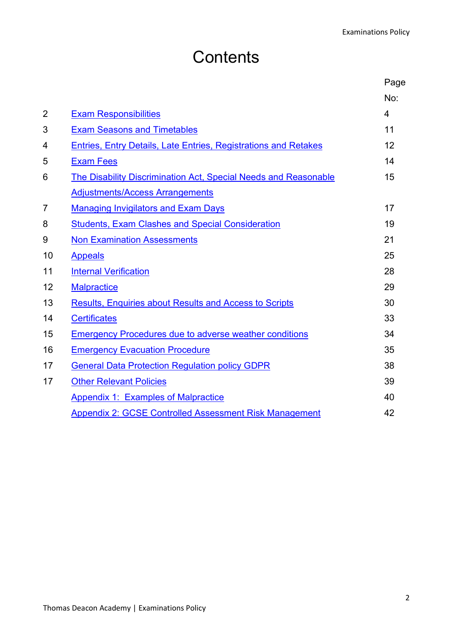# **Contents**

|                |                                                                 | Page           |
|----------------|-----------------------------------------------------------------|----------------|
|                |                                                                 | No:            |
| $\overline{2}$ | <b>Exam Responsibilities</b>                                    | $\overline{4}$ |
| 3              | <b>Exam Seasons and Timetables</b>                              | 11             |
| 4              | Entries, Entry Details, Late Entries, Registrations and Retakes | 12             |
| 5              | <b>Exam Fees</b>                                                | 14             |
| 6              | The Disability Discrimination Act, Special Needs and Reasonable | 15             |
|                | <b>Adjustments/Access Arrangements</b>                          |                |
| 7              | <b>Managing Invigilators and Exam Days</b>                      | 17             |
| 8              | <b>Students, Exam Clashes and Special Consideration</b>         | 19             |
| 9              | <b>Non Examination Assessments</b>                              | 21             |
| 10             | <b>Appeals</b>                                                  | 25             |
| 11             | <b>Internal Verification</b>                                    | 28             |
| 12             | <b>Malpractice</b>                                              | 29             |
| 13             | <b>Results, Enquiries about Results and Access to Scripts</b>   | 30             |
| 14             | <b>Certificates</b>                                             | 33             |
| 15             | <b>Emergency Procedures due to adverse weather conditions</b>   | 34             |
| 16             | <b>Emergency Evacuation Procedure</b>                           | 35             |
| 17             | <b>General Data Protection Regulation policy GDPR</b>           | 38             |
| 17             | <b>Other Relevant Policies</b>                                  | 39             |
|                | <b>Appendix 1: Examples of Malpractice</b>                      | 40             |
|                | <b>Appendix 2: GCSE Controlled Assessment Risk Management</b>   | 42             |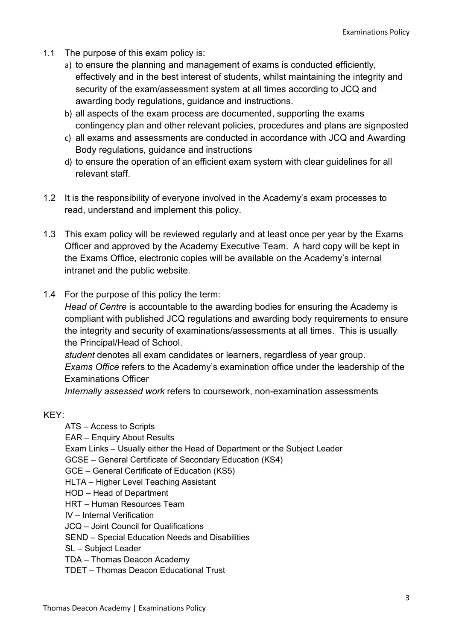- 1.1 The purpose of this exam policy is:
	- a) to ensure the planning and management of exams is conducted efficiently, effectively and in the best interest of students, whilst maintaining the integrity and security of the exam/assessment system at all times according to JCQ and awarding body regulations, guidance and instructions.
	- b) all aspects of the exam process are documented, supporting the exams contingency plan and other relevant policies, procedures and plans are signposted
	- c) all exams and assessments are conducted in accordance with JCQ and Awarding Body regulations, guidance and instructions
	- d) to ensure the operation of an efficient exam system with clear guidelines for all relevant staff.
- 1.2 It is the responsibility of everyone involved in the Academy's exam processes to read, understand and implement this policy.
- 1.3 This exam policy will be reviewed regularly and at least once per year by the Exams Officer and approved by the Academy Executive Team. A hard copy will be kept in the Exams Office, electronic copies will be available on the Academy's internal intranet and the public website.
- 1.4 For the purpose of this policy the term:

Head of Centre is accountable to the awarding bodies for ensuring the Academy is compliant with published JCQ regulations and awarding body requirements to ensure the integrity and security of examinations/assessments at all times. This is usually the Principal/Head of School.

student denotes all exam candidates or learners, regardless of year group. Exams Office refers to the Academy's examination office under the leadership of the Examinations Officer

Internally assessed work refers to coursework, non-examination assessments

#### KEY:

ATS – Access to Scripts

- EAR Enquiry About Results
- Exam Links Usually either the Head of Department or the Subject Leader
- GCSE General Certificate of Secondary Education (KS4)
- GCE General Certificate of Education (KS5)
- HLTA Higher Level Teaching Assistant
- HOD Head of Department
- HRT Human Resources Team
- IV Internal Verification
- JCQ Joint Council for Qualifications
- SEND Special Education Needs and Disabilities
- SL Subject Leader
- TDA Thomas Deacon Academy
- TDET Thomas Deacon Educational Trust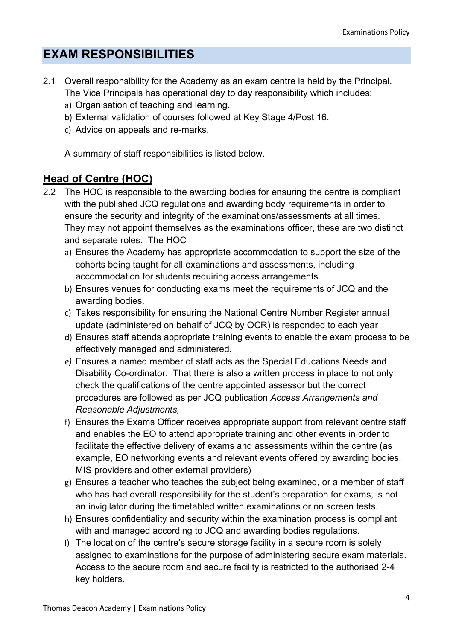## EXAM RESPONSIBILITIES

- 2.1 Overall responsibility for the Academy as an exam centre is held by the Principal. The Vice Principals has operational day to day responsibility which includes:
	- a) Organisation of teaching and learning.
	- b) External validation of courses followed at Key Stage 4/Post 16.
	- c) Advice on appeals and re-marks.

A summary of staff responsibilities is listed below.

### Head of Centre (HOC)

- 2.2 The HOC is responsible to the awarding bodies for ensuring the centre is compliant with the published JCQ regulations and awarding body requirements in order to ensure the security and integrity of the examinations/assessments at all times. They may not appoint themselves as the examinations officer, these are two distinct and separate roles. The HOC
	- a) Ensures the Academy has appropriate accommodation to support the size of the cohorts being taught for all examinations and assessments, including accommodation for students requiring access arrangements.
	- b) Ensures venues for conducting exams meet the requirements of JCQ and the awarding bodies.
	- c) Takes responsibility for ensuring the National Centre Number Register annual update (administered on behalf of JCQ by OCR) is responded to each year
	- d) Ensures staff attends appropriate training events to enable the exam process to be effectively managed and administered.
	- e) Ensures a named member of staff acts as the Special Educations Needs and Disability Co-ordinator. That there is also a written process in place to not only check the qualifications of the centre appointed assessor but the correct procedures are followed as per JCQ publication Access Arrangements and Reasonable Adjustments,
	- f) Ensures the Exams Officer receives appropriate support from relevant centre staff and enables the EO to attend appropriate training and other events in order to facilitate the effective delivery of exams and assessments within the centre (as example, EO networking events and relevant events offered by awarding bodies, MIS providers and other external providers)
	- g) Ensures a teacher who teaches the subject being examined, or a member of staff who has had overall responsibility for the student's preparation for exams, is not an invigilator during the timetabled written examinations or on screen tests.
	- h) Ensures confidentiality and security within the examination process is compliant with and managed according to JCQ and awarding bodies regulations.
	- i) The location of the centre's secure storage facility in a secure room is solely assigned to examinations for the purpose of administering secure exam materials. Access to the secure room and secure facility is restricted to the authorised 2-4 key holders.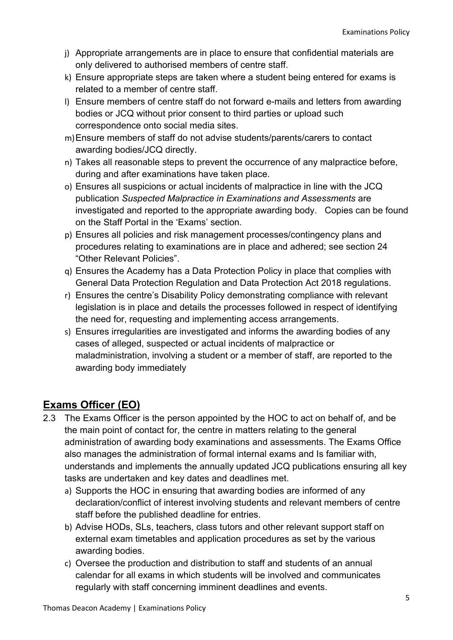- j) Appropriate arrangements are in place to ensure that confidential materials are only delivered to authorised members of centre staff.
- k) Ensure appropriate steps are taken where a student being entered for exams is related to a member of centre staff.
- l) Ensure members of centre staff do not forward e-mails and letters from awarding bodies or JCQ without prior consent to third parties or upload such correspondence onto social media sites.
- m) Ensure members of staff do not advise students/parents/carers to contact awarding bodies/JCQ directly.
- n) Takes all reasonable steps to prevent the occurrence of any malpractice before, during and after examinations have taken place.
- o) Ensures all suspicions or actual incidents of malpractice in line with the JCQ publication Suspected Malpractice in Examinations and Assessments are investigated and reported to the appropriate awarding body. Copies can be found on the Staff Portal in the 'Exams' section.
- p) Ensures all policies and risk management processes/contingency plans and procedures relating to examinations are in place and adhered; see section 24 "Other Relevant Policies".
- q) Ensures the Academy has a Data Protection Policy in place that complies with General Data Protection Regulation and Data Protection Act 2018 regulations.
- r) Ensures the centre's Disability Policy demonstrating compliance with relevant legislation is in place and details the processes followed in respect of identifying the need for, requesting and implementing access arrangements.
- s) Ensures irregularities are investigated and informs the awarding bodies of any cases of alleged, suspected or actual incidents of malpractice or maladministration, involving a student or a member of staff, are reported to the awarding body immediately

## Exams Officer (EO)

- 2.3 The Exams Officer is the person appointed by the HOC to act on behalf of, and be the main point of contact for, the centre in matters relating to the general administration of awarding body examinations and assessments. The Exams Office also manages the administration of formal internal exams and Is familiar with, understands and implements the annually updated JCQ publications ensuring all key tasks are undertaken and key dates and deadlines met.
	- a) Supports the HOC in ensuring that awarding bodies are informed of any declaration/conflict of interest involving students and relevant members of centre staff before the published deadline for entries.
	- b) Advise HODs, SLs, teachers, class tutors and other relevant support staff on external exam timetables and application procedures as set by the various awarding bodies.
	- c) Oversee the production and distribution to staff and students of an annual calendar for all exams in which students will be involved and communicates regularly with staff concerning imminent deadlines and events.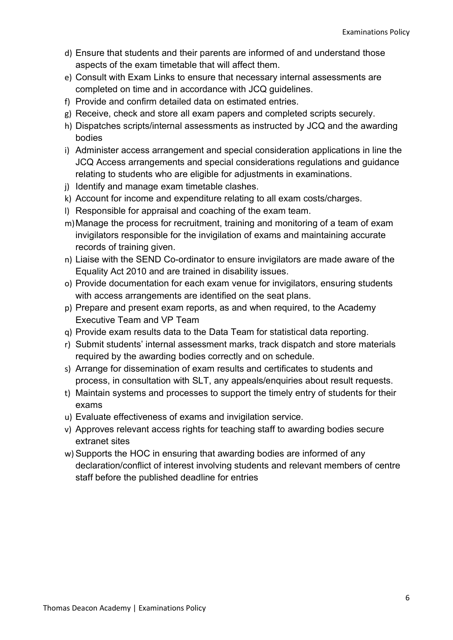- d) Ensure that students and their parents are informed of and understand those aspects of the exam timetable that will affect them.
- e) Consult with Exam Links to ensure that necessary internal assessments are completed on time and in accordance with JCQ guidelines.
- f) Provide and confirm detailed data on estimated entries.
- g) Receive, check and store all exam papers and completed scripts securely.
- h) Dispatches scripts/internal assessments as instructed by JCQ and the awarding bodies
- i) Administer access arrangement and special consideration applications in line the JCQ Access arrangements and special considerations regulations and guidance relating to students who are eligible for adjustments in examinations.
- j) Identify and manage exam timetable clashes.
- k) Account for income and expenditure relating to all exam costs/charges.
- l) Responsible for appraisal and coaching of the exam team.
- m) Manage the process for recruitment, training and monitoring of a team of exam invigilators responsible for the invigilation of exams and maintaining accurate records of training given.
- n) Liaise with the SEND Co-ordinator to ensure invigilators are made aware of the Equality Act 2010 and are trained in disability issues.
- o) Provide documentation for each exam venue for invigilators, ensuring students with access arrangements are identified on the seat plans.
- p) Prepare and present exam reports, as and when required, to the Academy Executive Team and VP Team
- q) Provide exam results data to the Data Team for statistical data reporting.
- r) Submit students' internal assessment marks, track dispatch and store materials required by the awarding bodies correctly and on schedule.
- s) Arrange for dissemination of exam results and certificates to students and process, in consultation with SLT, any appeals/enquiries about result requests.
- t) Maintain systems and processes to support the timely entry of students for their exams
- u) Evaluate effectiveness of exams and invigilation service.
- v) Approves relevant access rights for teaching staff to awarding bodies secure extranet sites
- w) Supports the HOC in ensuring that awarding bodies are informed of any declaration/conflict of interest involving students and relevant members of centre staff before the published deadline for entries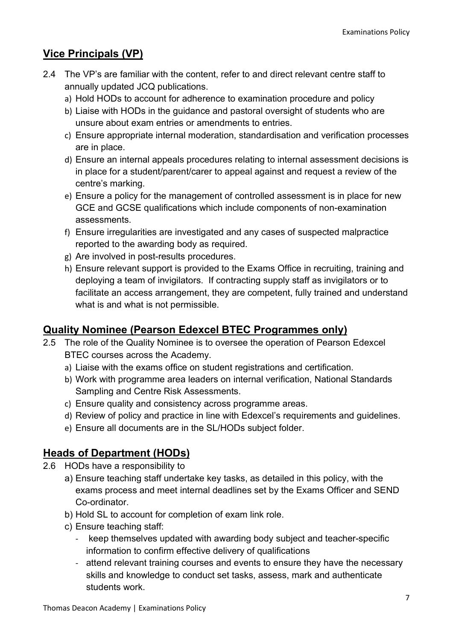## Vice Principals (VP)

- 2.4 The VP's are familiar with the content, refer to and direct relevant centre staff to annually updated JCQ publications.
	- a) Hold HODs to account for adherence to examination procedure and policy
	- b) Liaise with HODs in the guidance and pastoral oversight of students who are unsure about exam entries or amendments to entries.
	- c) Ensure appropriate internal moderation, standardisation and verification processes are in place.
	- d) Ensure an internal appeals procedures relating to internal assessment decisions is in place for a student/parent/carer to appeal against and request a review of the centre's marking.
	- e) Ensure a policy for the management of controlled assessment is in place for new GCE and GCSE qualifications which include components of non-examination assessments.
	- f) Ensure irregularities are investigated and any cases of suspected malpractice reported to the awarding body as required.
	- g) Are involved in post-results procedures.
	- h) Ensure relevant support is provided to the Exams Office in recruiting, training and deploying a team of invigilators. If contracting supply staff as invigilators or to facilitate an access arrangement, they are competent, fully trained and understand what is and what is not permissible.

## Quality Nominee (Pearson Edexcel BTEC Programmes only)

- 2.5 The role of the Quality Nominee is to oversee the operation of Pearson Edexcel BTEC courses across the Academy.
	- a) Liaise with the exams office on student registrations and certification.
	- b) Work with programme area leaders on internal verification, National Standards Sampling and Centre Risk Assessments.
	- c) Ensure quality and consistency across programme areas.
	- d) Review of policy and practice in line with Edexcel's requirements and guidelines.
	- e) Ensure all documents are in the SL/HODs subject folder.

## Heads of Department (HODs)

- 2.6 HODs have a responsibility to
	- a) Ensure teaching staff undertake key tasks, as detailed in this policy, with the exams process and meet internal deadlines set by the Exams Officer and SEND Co-ordinator.
	- b) Hold SL to account for completion of exam link role.
	- c) Ensure teaching staff:
		- keep themselves updated with awarding body subject and teacher-specific information to confirm effective delivery of qualifications
		- attend relevant training courses and events to ensure they have the necessary skills and knowledge to conduct set tasks, assess, mark and authenticate students work.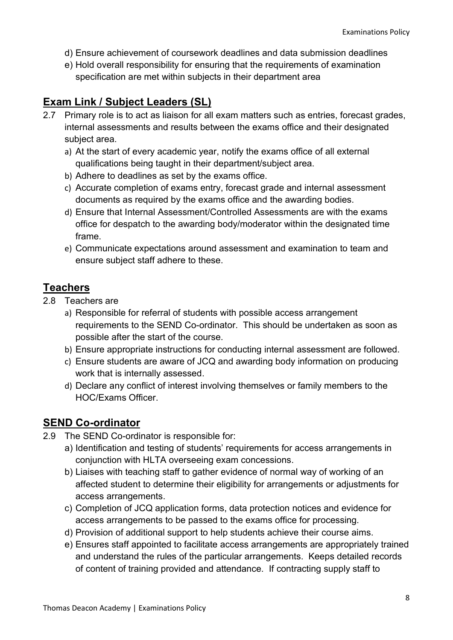- d) Ensure achievement of coursework deadlines and data submission deadlines
- e) Hold overall responsibility for ensuring that the requirements of examination specification are met within subjects in their department area

## Exam Link / Subject Leaders (SL)

- 2.7 Primary role is to act as liaison for all exam matters such as entries, forecast grades, internal assessments and results between the exams office and their designated subject area.
	- a) At the start of every academic year, notify the exams office of all external qualifications being taught in their department/subject area.
	- b) Adhere to deadlines as set by the exams office.
	- c) Accurate completion of exams entry, forecast grade and internal assessment documents as required by the exams office and the awarding bodies.
	- d) Ensure that Internal Assessment/Controlled Assessments are with the exams office for despatch to the awarding body/moderator within the designated time frame.
	- e) Communicate expectations around assessment and examination to team and ensure subject staff adhere to these.

## **Teachers**

- 2.8 Teachers are
	- a) Responsible for referral of students with possible access arrangement requirements to the SEND Co-ordinator. This should be undertaken as soon as possible after the start of the course.
	- b) Ensure appropriate instructions for conducting internal assessment are followed.
	- c) Ensure students are aware of JCQ and awarding body information on producing work that is internally assessed.
	- d) Declare any conflict of interest involving themselves or family members to the HOC/Exams Officer.

## SEND Co-ordinator

- 2.9 The SEND Co-ordinator is responsible for:
	- a) Identification and testing of students' requirements for access arrangements in conjunction with HLTA overseeing exam concessions.
	- b) Liaises with teaching staff to gather evidence of normal way of working of an affected student to determine their eligibility for arrangements or adjustments for access arrangements.
	- c) Completion of JCQ application forms, data protection notices and evidence for access arrangements to be passed to the exams office for processing.
	- d) Provision of additional support to help students achieve their course aims.
	- e) Ensures staff appointed to facilitate access arrangements are appropriately trained and understand the rules of the particular arrangements. Keeps detailed records of content of training provided and attendance. If contracting supply staff to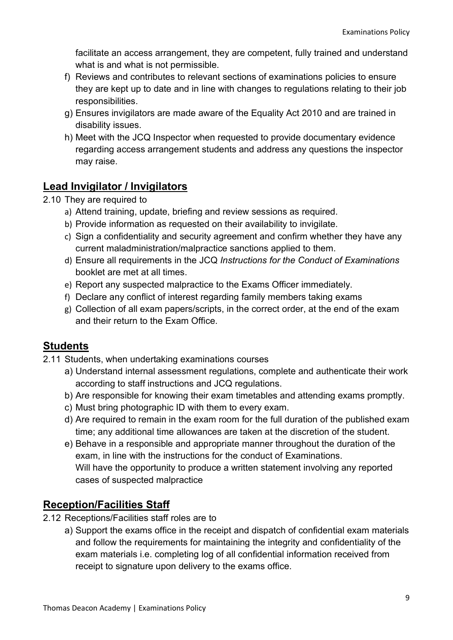facilitate an access arrangement, they are competent, fully trained and understand what is and what is not permissible.

- f) Reviews and contributes to relevant sections of examinations policies to ensure they are kept up to date and in line with changes to regulations relating to their job responsibilities.
- g) Ensures invigilators are made aware of the Equality Act 2010 and are trained in disability issues.
- h) Meet with the JCQ Inspector when requested to provide documentary evidence regarding access arrangement students and address any questions the inspector may raise.

## Lead Invigilator / Invigilators

- 2.10 They are required to
	- a) Attend training, update, briefing and review sessions as required.
	- b) Provide information as requested on their availability to invigilate.
	- c) Sign a confidentiality and security agreement and confirm whether they have any current maladministration/malpractice sanctions applied to them.
	- d) Ensure all requirements in the JCQ Instructions for the Conduct of Examinations booklet are met at all times.
	- e) Report any suspected malpractice to the Exams Officer immediately.
	- f) Declare any conflict of interest regarding family members taking exams
	- g) Collection of all exam papers/scripts, in the correct order, at the end of the exam and their return to the Exam Office.

### **Students**

- 2.11 Students, when undertaking examinations courses
	- a) Understand internal assessment regulations, complete and authenticate their work according to staff instructions and JCQ regulations.
	- b) Are responsible for knowing their exam timetables and attending exams promptly.
	- c) Must bring photographic ID with them to every exam.
	- d) Are required to remain in the exam room for the full duration of the published exam time; any additional time allowances are taken at the discretion of the student.
	- e) Behave in a responsible and appropriate manner throughout the duration of the exam, in line with the instructions for the conduct of Examinations. Will have the opportunity to produce a written statement involving any reported cases of suspected malpractice

## Reception/Facilities Staff

- 2.12 Receptions/Facilities staff roles are to
	- a) Support the exams office in the receipt and dispatch of confidential exam materials and follow the requirements for maintaining the integrity and confidentiality of the exam materials i.e. completing log of all confidential information received from receipt to signature upon delivery to the exams office.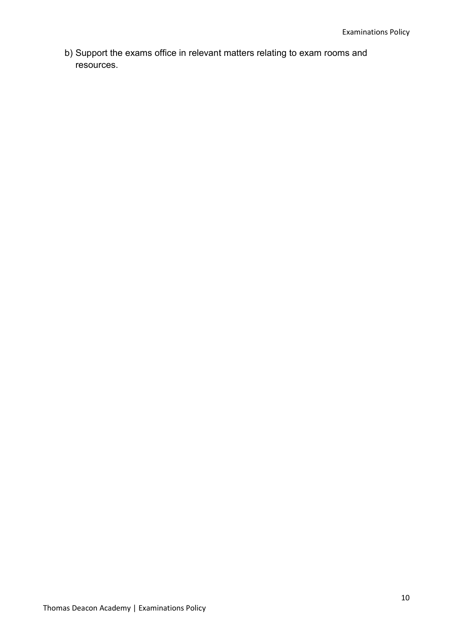b) Support the exams office in relevant matters relating to exam rooms and resources.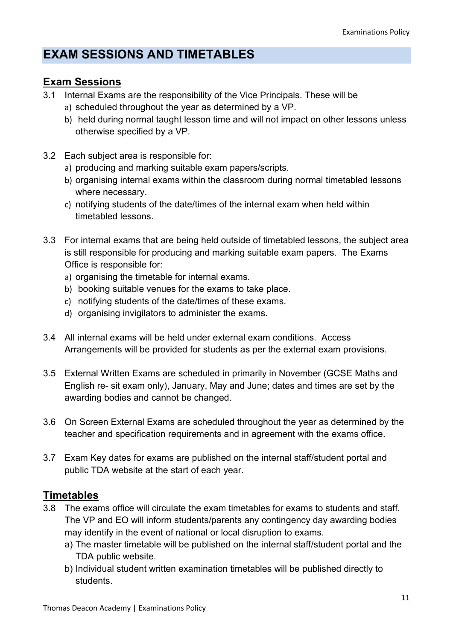## EXAM SESSIONS AND TIMETABLES

### Exam Sessions

- 3.1 Internal Exams are the responsibility of the Vice Principals. These will be
	- a) scheduled throughout the year as determined by a VP.
	- b) held during normal taught lesson time and will not impact on other lessons unless otherwise specified by a VP.
- 3.2 Each subject area is responsible for:
	- a) producing and marking suitable exam papers/scripts.
	- b) organising internal exams within the classroom during normal timetabled lessons where necessary.
	- c) notifying students of the date/times of the internal exam when held within timetabled lessons.
- 3.3 For internal exams that are being held outside of timetabled lessons, the subject area is still responsible for producing and marking suitable exam papers. The Exams Office is responsible for:
	- a) organising the timetable for internal exams.
	- b) booking suitable venues for the exams to take place.
	- c) notifying students of the date/times of these exams.
	- d) organising invigilators to administer the exams.
- 3.4 All internal exams will be held under external exam conditions. Access Arrangements will be provided for students as per the external exam provisions.
- 3.5 External Written Exams are scheduled in primarily in November (GCSE Maths and English re- sit exam only), January, May and June; dates and times are set by the awarding bodies and cannot be changed.
- 3.6 On Screen External Exams are scheduled throughout the year as determined by the teacher and specification requirements and in agreement with the exams office.
- 3.7 Exam Key dates for exams are published on the internal staff/student portal and public TDA website at the start of each year.

### **Timetables**

- 3.8 The exams office will circulate the exam timetables for exams to students and staff. The VP and EO will inform students/parents any contingency day awarding bodies may identify in the event of national or local disruption to exams.
	- a) The master timetable will be published on the internal staff/student portal and the TDA public website.
	- b) Individual student written examination timetables will be published directly to students.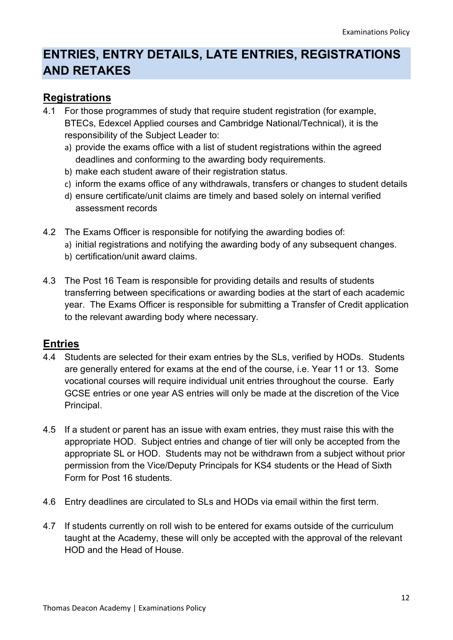## ENTRIES, ENTRY DETAILS, LATE ENTRIES, REGISTRATIONS AND RETAKES

### Registrations

- 4.1 For those programmes of study that require student registration (for example, BTECs, Edexcel Applied courses and Cambridge National/Technical), it is the responsibility of the Subject Leader to:
	- a) provide the exams office with a list of student registrations within the agreed deadlines and conforming to the awarding body requirements.
	- b) make each student aware of their registration status.
	- c) inform the exams office of any withdrawals, transfers or changes to student details
	- d) ensure certificate/unit claims are timely and based solely on internal verified assessment records
- 4.2 The Exams Officer is responsible for notifying the awarding bodies of: a) initial registrations and notifying the awarding body of any subsequent changes.
	- b) certification/unit award claims.
- 4.3 The Post 16 Team is responsible for providing details and results of students transferring between specifications or awarding bodies at the start of each academic year. The Exams Officer is responsible for submitting a Transfer of Credit application to the relevant awarding body where necessary.

### Entries

- 4.4 Students are selected for their exam entries by the SLs, verified by HODs. Students are generally entered for exams at the end of the course, i.e. Year 11 or 13. Some vocational courses will require individual unit entries throughout the course. Early GCSE entries or one year AS entries will only be made at the discretion of the Vice Principal.
- 4.5 If a student or parent has an issue with exam entries, they must raise this with the appropriate HOD. Subject entries and change of tier will only be accepted from the appropriate SL or HOD. Students may not be withdrawn from a subject without prior permission from the Vice/Deputy Principals for KS4 students or the Head of Sixth Form for Post 16 students.
- 4.6 Entry deadlines are circulated to SLs and HODs via email within the first term.
- 4.7 If students currently on roll wish to be entered for exams outside of the curriculum taught at the Academy, these will only be accepted with the approval of the relevant HOD and the Head of House.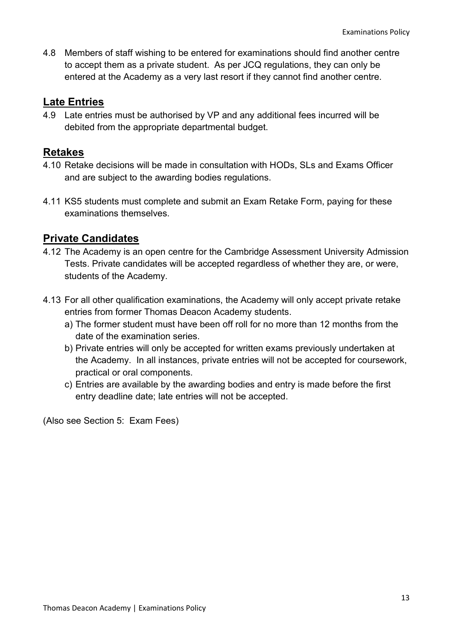4.8 Members of staff wishing to be entered for examinations should find another centre to accept them as a private student. As per JCQ regulations, they can only be entered at the Academy as a very last resort if they cannot find another centre.

### Late Entries

4.9 Late entries must be authorised by VP and any additional fees incurred will be debited from the appropriate departmental budget.

### Retakes

- 4.10 Retake decisions will be made in consultation with HODs, SLs and Exams Officer and are subject to the awarding bodies regulations.
- 4.11 KS5 students must complete and submit an Exam Retake Form, paying for these examinations themselves.

### Private Candidates

- 4.12 The Academy is an open centre for the Cambridge Assessment University Admission Tests. Private candidates will be accepted regardless of whether they are, or were, students of the Academy.
- 4.13 For all other qualification examinations, the Academy will only accept private retake entries from former Thomas Deacon Academy students.
	- a) The former student must have been off roll for no more than 12 months from the date of the examination series.
	- b) Private entries will only be accepted for written exams previously undertaken at the Academy. In all instances, private entries will not be accepted for coursework, practical or oral components.
	- c) Entries are available by the awarding bodies and entry is made before the first entry deadline date; late entries will not be accepted.

(Also see Section 5: Exam Fees)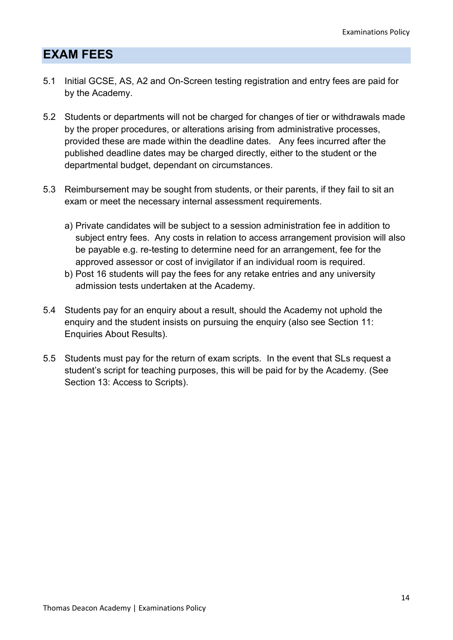## EXAM FEES

- 5.1 Initial GCSE, AS, A2 and On-Screen testing registration and entry fees are paid for by the Academy.
- 5.2 Students or departments will not be charged for changes of tier or withdrawals made by the proper procedures, or alterations arising from administrative processes, provided these are made within the deadline dates. Any fees incurred after the published deadline dates may be charged directly, either to the student or the departmental budget, dependant on circumstances.
- 5.3 Reimbursement may be sought from students, or their parents, if they fail to sit an exam or meet the necessary internal assessment requirements.
	- a) Private candidates will be subject to a session administration fee in addition to subject entry fees. Any costs in relation to access arrangement provision will also be payable e.g. re-testing to determine need for an arrangement, fee for the approved assessor or cost of invigilator if an individual room is required.
	- b) Post 16 students will pay the fees for any retake entries and any university admission tests undertaken at the Academy.
- 5.4 Students pay for an enquiry about a result, should the Academy not uphold the enquiry and the student insists on pursuing the enquiry (also see Section 11: Enquiries About Results).
- 5.5 Students must pay for the return of exam scripts. In the event that SLs request a student's script for teaching purposes, this will be paid for by the Academy. (See Section 13: Access to Scripts).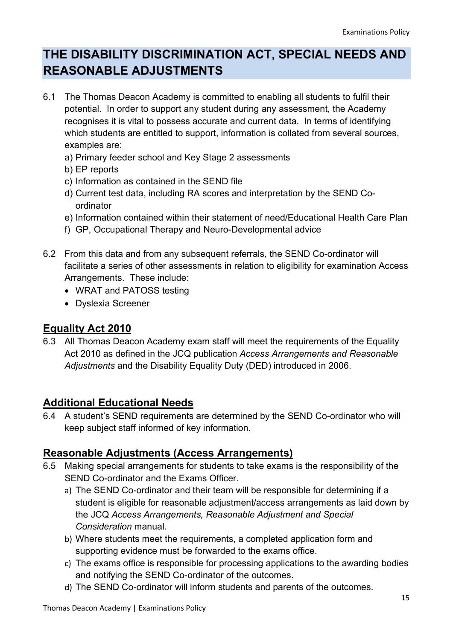## THE DISABILITY DISCRIMINATION ACT, SPECIAL NEEDS AND REASONABLE ADJUSTMENTS

- 6.1 The Thomas Deacon Academy is committed to enabling all students to fulfil their potential. In order to support any student during any assessment, the Academy recognises it is vital to possess accurate and current data. In terms of identifying which students are entitled to support, information is collated from several sources, examples are:
	- a) Primary feeder school and Key Stage 2 assessments
	- b) EP reports
	- c) Information as contained in the SEND file
	- d) Current test data, including RA scores and interpretation by the SEND Coordinator
	- e) Information contained within their statement of need/Educational Health Care Plan
	- f) GP, Occupational Therapy and Neuro-Developmental advice
- 6.2 From this data and from any subsequent referrals, the SEND Co-ordinator will facilitate a series of other assessments in relation to eligibility for examination Access Arrangements. These include:
	- WRAT and PATOSS testing
	- Dyslexia Screener

#### Equality Act 2010

6.3 All Thomas Deacon Academy exam staff will meet the requirements of the Equality Act 2010 as defined in the JCQ publication Access Arrangements and Reasonable Adjustments and the Disability Equality Duty (DED) introduced in 2006.

#### Additional Educational Needs

6.4 A student's SEND requirements are determined by the SEND Co-ordinator who will keep subject staff informed of key information.

### Reasonable Adjustments (Access Arrangements)

- 6.5 Making special arrangements for students to take exams is the responsibility of the SEND Co-ordinator and the Exams Officer.
	- a) The SEND Co-ordinator and their team will be responsible for determining if a student is eligible for reasonable adjustment/access arrangements as laid down by the JCQ Access Arrangements, Reasonable Adjustment and Special Consideration manual.
	- b) Where students meet the requirements, a completed application form and supporting evidence must be forwarded to the exams office.
	- c) The exams office is responsible for processing applications to the awarding bodies and notifying the SEND Co-ordinator of the outcomes.
	- d) The SEND Co-ordinator will inform students and parents of the outcomes.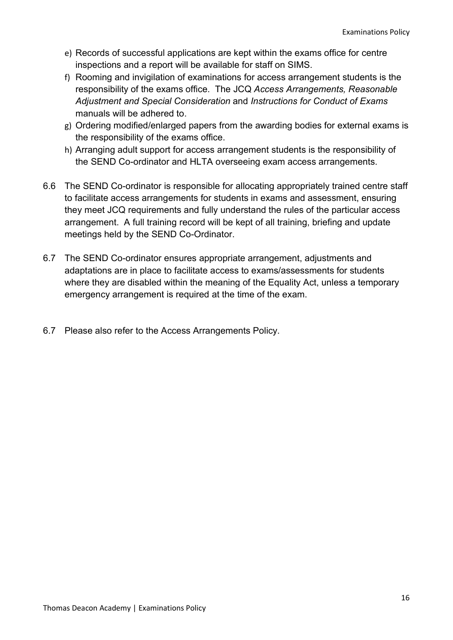- e) Records of successful applications are kept within the exams office for centre inspections and a report will be available for staff on SIMS.
- f) Rooming and invigilation of examinations for access arrangement students is the responsibility of the exams office. The JCQ Access Arrangements, Reasonable Adjustment and Special Consideration and Instructions for Conduct of Exams manuals will be adhered to.
- g) Ordering modified/enlarged papers from the awarding bodies for external exams is the responsibility of the exams office.
- h) Arranging adult support for access arrangement students is the responsibility of the SEND Co-ordinator and HLTA overseeing exam access arrangements.
- 6.6 The SEND Co-ordinator is responsible for allocating appropriately trained centre staff to facilitate access arrangements for students in exams and assessment, ensuring they meet JCQ requirements and fully understand the rules of the particular access arrangement. A full training record will be kept of all training, briefing and update meetings held by the SEND Co-Ordinator.
- 6.7 The SEND Co-ordinator ensures appropriate arrangement, adjustments and adaptations are in place to facilitate access to exams/assessments for students where they are disabled within the meaning of the Equality Act, unless a temporary emergency arrangement is required at the time of the exam.
- 6.7 Please also refer to the Access Arrangements Policy.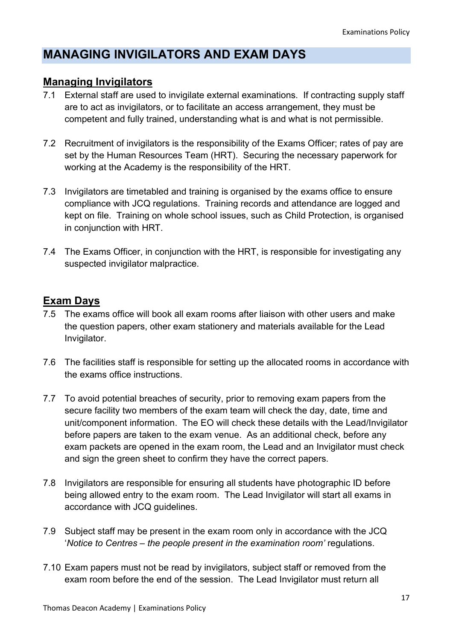## MANAGING INVIGILATORS AND EXAM DAYS

### Managing Invigilators

- 7.1 External staff are used to invigilate external examinations. If contracting supply staff are to act as invigilators, or to facilitate an access arrangement, they must be competent and fully trained, understanding what is and what is not permissible.
- 7.2 Recruitment of invigilators is the responsibility of the Exams Officer; rates of pay are set by the Human Resources Team (HRT). Securing the necessary paperwork for working at the Academy is the responsibility of the HRT.
- 7.3 Invigilators are timetabled and training is organised by the exams office to ensure compliance with JCQ regulations. Training records and attendance are logged and kept on file. Training on whole school issues, such as Child Protection, is organised in conjunction with HRT.
- 7.4 The Exams Officer, in conjunction with the HRT, is responsible for investigating any suspected invigilator malpractice.

### Exam Days

- 7.5 The exams office will book all exam rooms after liaison with other users and make the question papers, other exam stationery and materials available for the Lead Invigilator.
- 7.6 The facilities staff is responsible for setting up the allocated rooms in accordance with the exams office instructions.
- 7.7 To avoid potential breaches of security, prior to removing exam papers from the secure facility two members of the exam team will check the day, date, time and unit/component information. The EO will check these details with the Lead/Invigilator before papers are taken to the exam venue. As an additional check, before any exam packets are opened in the exam room, the Lead and an Invigilator must check and sign the green sheet to confirm they have the correct papers.
- 7.8 Invigilators are responsible for ensuring all students have photographic ID before being allowed entry to the exam room. The Lead Invigilator will start all exams in accordance with JCQ guidelines.
- 7.9 Subject staff may be present in the exam room only in accordance with the JCQ 'Notice to Centres – the people present in the examination room' regulations.
- 7.10 Exam papers must not be read by invigilators, subject staff or removed from the exam room before the end of the session. The Lead Invigilator must return all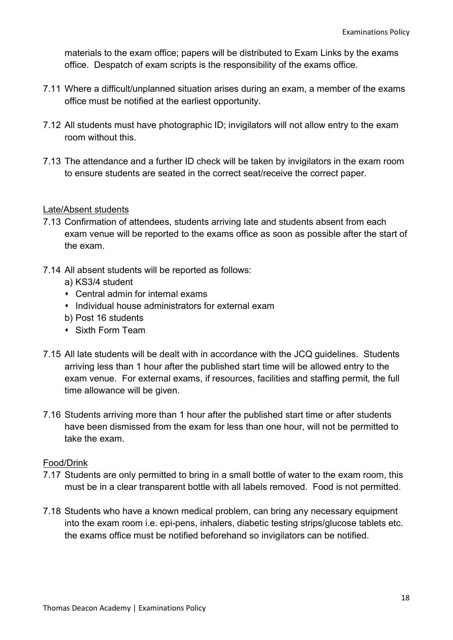materials to the exam office; papers will be distributed to Exam Links by the exams office. Despatch of exam scripts is the responsibility of the exams office.

- 7.11 Where a difficult/unplanned situation arises during an exam, a member of the exams office must be notified at the earliest opportunity.
- 7.12 All students must have photographic ID; invigilators will not allow entry to the exam room without this.
- 7.13 The attendance and a further ID check will be taken by invigilators in the exam room to ensure students are seated in the correct seat/receive the correct paper.

#### Late/Absent students

- 7.13 Confirmation of attendees, students arriving late and students absent from each exam venue will be reported to the exams office as soon as possible after the start of the exam.
- 7.14 All absent students will be reported as follows:
	- a) KS3/4 student
	- Central admin for internal exams
	- **Individual house administrators for external exam**
	- b) Post 16 students
	- Sixth Form Team
- 7.15 All late students will be dealt with in accordance with the JCQ guidelines. Students arriving less than 1 hour after the published start time will be allowed entry to the exam venue. For external exams, if resources, facilities and staffing permit, the full time allowance will be given.
- 7.16 Students arriving more than 1 hour after the published start time or after students have been dismissed from the exam for less than one hour, will not be permitted to take the exam.

#### Food/Drink

- 7.17 Students are only permitted to bring in a small bottle of water to the exam room, this must be in a clear transparent bottle with all labels removed. Food is not permitted.
- 7.18 Students who have a known medical problem, can bring any necessary equipment into the exam room i.e. epi-pens, inhalers, diabetic testing strips/glucose tablets etc. the exams office must be notified beforehand so invigilators can be notified.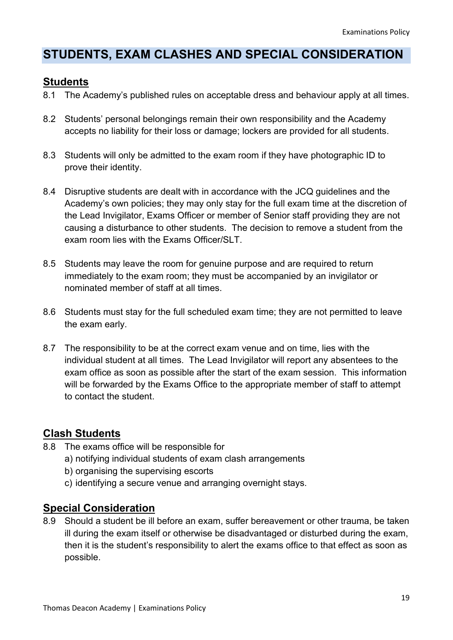## STUDENTS, EXAM CLASHES AND SPECIAL CONSIDERATION

### **Students**

- 8.1 The Academy's published rules on acceptable dress and behaviour apply at all times.
- 8.2 Students' personal belongings remain their own responsibility and the Academy accepts no liability for their loss or damage; lockers are provided for all students.
- 8.3 Students will only be admitted to the exam room if they have photographic ID to prove their identity.
- 8.4 Disruptive students are dealt with in accordance with the JCQ guidelines and the Academy's own policies; they may only stay for the full exam time at the discretion of the Lead Invigilator, Exams Officer or member of Senior staff providing they are not causing a disturbance to other students. The decision to remove a student from the exam room lies with the Exams Officer/SLT
- 8.5 Students may leave the room for genuine purpose and are required to return immediately to the exam room; they must be accompanied by an invigilator or nominated member of staff at all times.
- 8.6 Students must stay for the full scheduled exam time; they are not permitted to leave the exam early.
- 8.7 The responsibility to be at the correct exam venue and on time, lies with the individual student at all times. The Lead Invigilator will report any absentees to the exam office as soon as possible after the start of the exam session. This information will be forwarded by the Exams Office to the appropriate member of staff to attempt to contact the student.

## Clash Students

- 8.8 The exams office will be responsible for
	- a) notifying individual students of exam clash arrangements
	- b) organising the supervising escorts
	- c) identifying a secure venue and arranging overnight stays.

#### Special Consideration

8.9 Should a student be ill before an exam, suffer bereavement or other trauma, be taken ill during the exam itself or otherwise be disadvantaged or disturbed during the exam, then it is the student's responsibility to alert the exams office to that effect as soon as possible.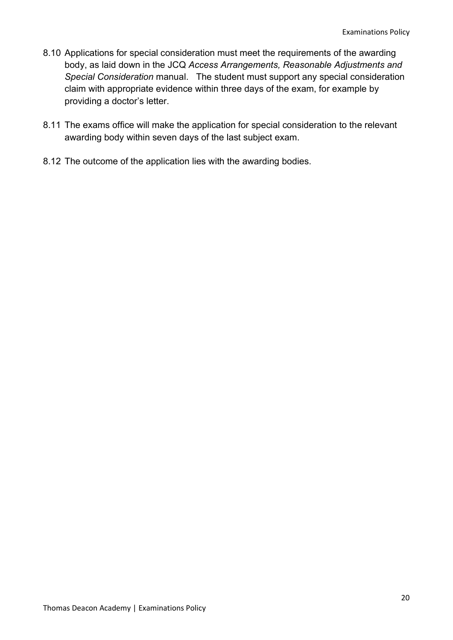- 8.10 Applications for special consideration must meet the requirements of the awarding body, as laid down in the JCQ Access Arrangements, Reasonable Adjustments and Special Consideration manual. The student must support any special consideration claim with appropriate evidence within three days of the exam, for example by providing a doctor's letter.
- 8.11 The exams office will make the application for special consideration to the relevant awarding body within seven days of the last subject exam.
- 8.12 The outcome of the application lies with the awarding bodies.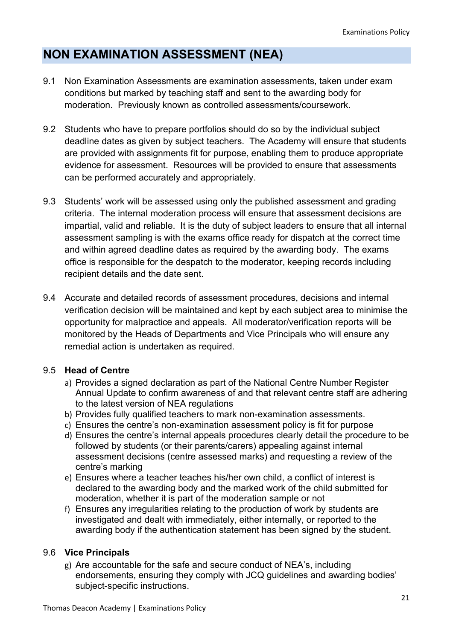## NON EXAMINATION ASSESSMENT (NEA)

- 9.1 Non Examination Assessments are examination assessments, taken under exam conditions but marked by teaching staff and sent to the awarding body for moderation. Previously known as controlled assessments/coursework.
- 9.2 Students who have to prepare portfolios should do so by the individual subject deadline dates as given by subject teachers. The Academy will ensure that students are provided with assignments fit for purpose, enabling them to produce appropriate evidence for assessment. Resources will be provided to ensure that assessments can be performed accurately and appropriately.
- 9.3 Students' work will be assessed using only the published assessment and grading criteria. The internal moderation process will ensure that assessment decisions are impartial, valid and reliable. It is the duty of subject leaders to ensure that all internal assessment sampling is with the exams office ready for dispatch at the correct time and within agreed deadline dates as required by the awarding body. The exams office is responsible for the despatch to the moderator, keeping records including recipient details and the date sent.
- 9.4 Accurate and detailed records of assessment procedures, decisions and internal verification decision will be maintained and kept by each subject area to minimise the opportunity for malpractice and appeals. All moderator/verification reports will be monitored by the Heads of Departments and Vice Principals who will ensure any remedial action is undertaken as required.

#### 9.5 Head of Centre

- a) Provides a signed declaration as part of the National Centre Number Register Annual Update to confirm awareness of and that relevant centre staff are adhering to the latest version of NEA regulations
- b) Provides fully qualified teachers to mark non-examination assessments.
- c) Ensures the centre's non-examination assessment policy is fit for purpose
- d) Ensures the centre's internal appeals procedures clearly detail the procedure to be followed by students (or their parents/carers) appealing against internal assessment decisions (centre assessed marks) and requesting a review of the centre's marking
- e) Ensures where a teacher teaches his/her own child, a conflict of interest is declared to the awarding body and the marked work of the child submitted for moderation, whether it is part of the moderation sample or not
- f) Ensures any irregularities relating to the production of work by students are investigated and dealt with immediately, either internally, or reported to the awarding body if the authentication statement has been signed by the student.

#### 9.6 Vice Principals

g) Are accountable for the safe and secure conduct of NEA's, including endorsements, ensuring they comply with JCQ guidelines and awarding bodies' subject-specific instructions.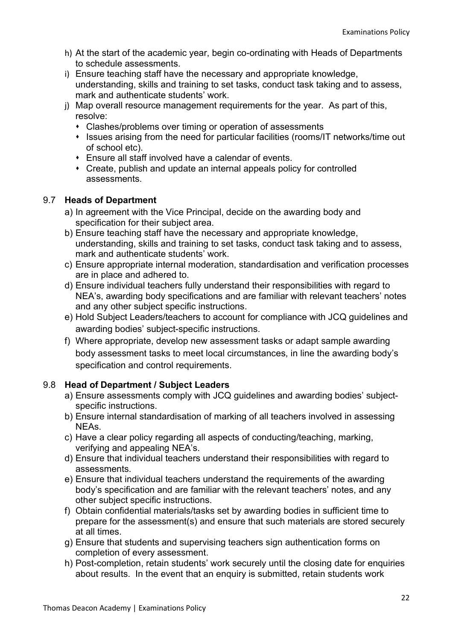- h) At the start of the academic year, begin co-ordinating with Heads of Departments to schedule assessments.
- i) Ensure teaching staff have the necessary and appropriate knowledge, understanding, skills and training to set tasks, conduct task taking and to assess, mark and authenticate students' work.
- j) Map overall resource management requirements for the year. As part of this, resolve:
	- Clashes/problems over timing or operation of assessments
	- Issues arising from the need for particular facilities (rooms/IT networks/time out of school etc).
	- Ensure all staff involved have a calendar of events.
	- Create, publish and update an internal appeals policy for controlled assessments.

#### 9.7 Heads of Department

- a) In agreement with the Vice Principal, decide on the awarding body and specification for their subject area.
- b) Ensure teaching staff have the necessary and appropriate knowledge, understanding, skills and training to set tasks, conduct task taking and to assess, mark and authenticate students' work.
- c) Ensure appropriate internal moderation, standardisation and verification processes are in place and adhered to.
- d) Ensure individual teachers fully understand their responsibilities with regard to NEA's, awarding body specifications and are familiar with relevant teachers' notes and any other subject specific instructions.
- e) Hold Subject Leaders/teachers to account for compliance with JCQ guidelines and awarding bodies' subject-specific instructions.
- f) Where appropriate, develop new assessment tasks or adapt sample awarding body assessment tasks to meet local circumstances, in line the awarding body's specification and control requirements.

#### 9.8 Head of Department / Subject Leaders

- a) Ensure assessments comply with JCQ guidelines and awarding bodies' subjectspecific instructions.
- b) Ensure internal standardisation of marking of all teachers involved in assessing NEAs.
- c) Have a clear policy regarding all aspects of conducting/teaching, marking, verifying and appealing NEA's.
- d) Ensure that individual teachers understand their responsibilities with regard to assessments.
- e) Ensure that individual teachers understand the requirements of the awarding body's specification and are familiar with the relevant teachers' notes, and any other subject specific instructions.
- f) Obtain confidential materials/tasks set by awarding bodies in sufficient time to prepare for the assessment(s) and ensure that such materials are stored securely at all times.
- g) Ensure that students and supervising teachers sign authentication forms on completion of every assessment.
- h) Post-completion, retain students' work securely until the closing date for enquiries about results. In the event that an enquiry is submitted, retain students work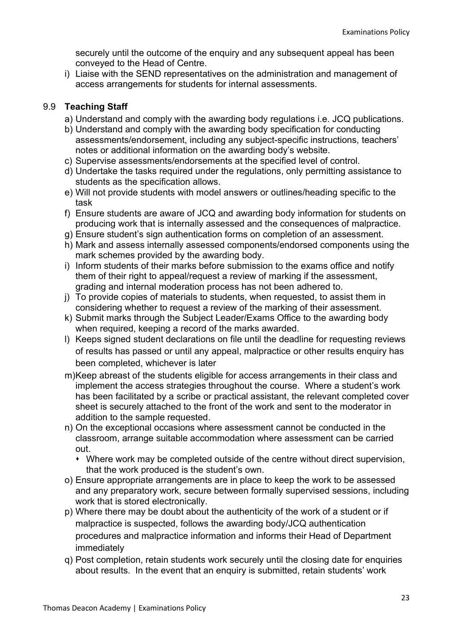securely until the outcome of the enquiry and any subsequent appeal has been conveyed to the Head of Centre.

i) Liaise with the SEND representatives on the administration and management of access arrangements for students for internal assessments.

#### 9.9 Teaching Staff

- a) Understand and comply with the awarding body regulations i.e. JCQ publications.
- b) Understand and comply with the awarding body specification for conducting assessments/endorsement, including any subject-specific instructions, teachers' notes or additional information on the awarding body's website.
- c) Supervise assessments/endorsements at the specified level of control.
- d) Undertake the tasks required under the regulations, only permitting assistance to students as the specification allows.
- e) Will not provide students with model answers or outlines/heading specific to the task
- f) Ensure students are aware of JCQ and awarding body information for students on producing work that is internally assessed and the consequences of malpractice.
- g) Ensure student's sign authentication forms on completion of an assessment.
- h) Mark and assess internally assessed components/endorsed components using the mark schemes provided by the awarding body.
- i) Inform students of their marks before submission to the exams office and notify them of their right to appeal/request a review of marking if the assessment, grading and internal moderation process has not been adhered to.
- j) To provide copies of materials to students, when requested, to assist them in considering whether to request a review of the marking of their assessment.
- k) Submit marks through the Subject Leader/Exams Office to the awarding body when required, keeping a record of the marks awarded.
- l) Keeps signed student declarations on file until the deadline for requesting reviews of results has passed or until any appeal, malpractice or other results enquiry has been completed, whichever is later
- m) Keep abreast of the students eligible for access arrangements in their class and implement the access strategies throughout the course. Where a student's work has been facilitated by a scribe or practical assistant, the relevant completed cover sheet is securely attached to the front of the work and sent to the moderator in addition to the sample requested.
- n) On the exceptional occasions where assessment cannot be conducted in the classroom, arrange suitable accommodation where assessment can be carried out.
	- Where work may be completed outside of the centre without direct supervision, that the work produced is the student's own.
- o) Ensure appropriate arrangements are in place to keep the work to be assessed and any preparatory work, secure between formally supervised sessions, including work that is stored electronically.
- p) Where there may be doubt about the authenticity of the work of a student or if malpractice is suspected, follows the awarding body/JCQ authentication procedures and malpractice information and informs their Head of Department immediately
- q) Post completion, retain students work securely until the closing date for enquiries about results. In the event that an enquiry is submitted, retain students' work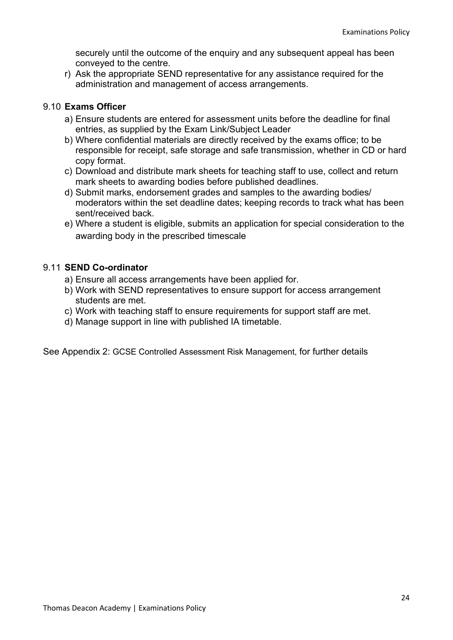securely until the outcome of the enquiry and any subsequent appeal has been conveyed to the centre.

r) Ask the appropriate SEND representative for any assistance required for the administration and management of access arrangements.

#### 9.10 Exams Officer

- a) Ensure students are entered for assessment units before the deadline for final entries, as supplied by the Exam Link/Subject Leader
- b) Where confidential materials are directly received by the exams office; to be responsible for receipt, safe storage and safe transmission, whether in CD or hard copy format.
- c) Download and distribute mark sheets for teaching staff to use, collect and return mark sheets to awarding bodies before published deadlines.
- d) Submit marks, endorsement grades and samples to the awarding bodies/ moderators within the set deadline dates; keeping records to track what has been sent/received back
- e) Where a student is eligible, submits an application for special consideration to the awarding body in the prescribed timescale

#### 9.11 SEND Co-ordinator

- a) Ensure all access arrangements have been applied for.
- b) Work with SEND representatives to ensure support for access arrangement students are met.
- c) Work with teaching staff to ensure requirements for support staff are met.
- d) Manage support in line with published IA timetable.

See Appendix 2: GCSE Controlled Assessment Risk Management, for further details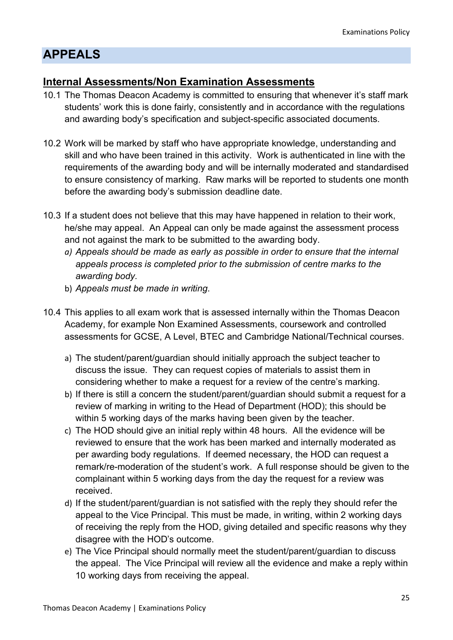## APPEALS

## Internal Assessments/Non Examination Assessments

- 10.1 The Thomas Deacon Academy is committed to ensuring that whenever it's staff mark students' work this is done fairly, consistently and in accordance with the regulations and awarding body's specification and subject-specific associated documents.
- 10.2 Work will be marked by staff who have appropriate knowledge, understanding and skill and who have been trained in this activity. Work is authenticated in line with the requirements of the awarding body and will be internally moderated and standardised to ensure consistency of marking. Raw marks will be reported to students one month before the awarding body's submission deadline date.
- 10.3 If a student does not believe that this may have happened in relation to their work, he/she may appeal. An Appeal can only be made against the assessment process and not against the mark to be submitted to the awarding body.
	- a) Appeals should be made as early as possible in order to ensure that the internal appeals process is completed prior to the submission of centre marks to the awarding body.
	- b) Appeals must be made in writing.
- 10.4 This applies to all exam work that is assessed internally within the Thomas Deacon Academy, for example Non Examined Assessments, coursework and controlled assessments for GCSE, A Level, BTEC and Cambridge National/Technical courses.
	- a) The student/parent/guardian should initially approach the subject teacher to discuss the issue. They can request copies of materials to assist them in considering whether to make a request for a review of the centre's marking.
	- b) If there is still a concern the student/parent/guardian should submit a request for a review of marking in writing to the Head of Department (HOD); this should be within 5 working days of the marks having been given by the teacher.
	- c) The HOD should give an initial reply within 48 hours. All the evidence will be reviewed to ensure that the work has been marked and internally moderated as per awarding body regulations. If deemed necessary, the HOD can request a remark/re-moderation of the student's work. A full response should be given to the complainant within 5 working days from the day the request for a review was received.
	- d) If the student/parent/guardian is not satisfied with the reply they should refer the appeal to the Vice Principal. This must be made, in writing, within 2 working days of receiving the reply from the HOD, giving detailed and specific reasons why they disagree with the HOD's outcome.
	- e) The Vice Principal should normally meet the student/parent/guardian to discuss the appeal. The Vice Principal will review all the evidence and make a reply within 10 working days from receiving the appeal.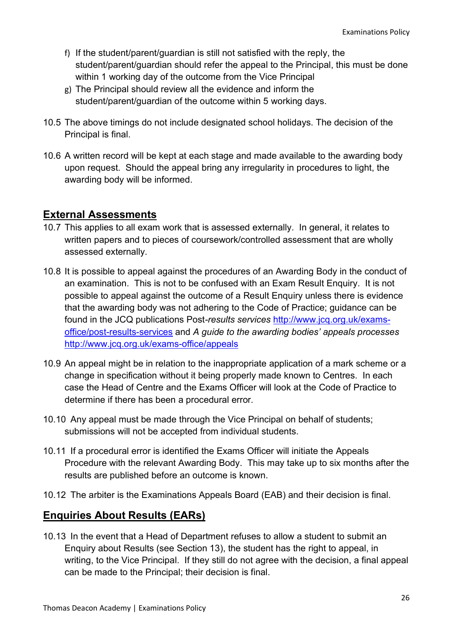- f) If the student/parent/guardian is still not satisfied with the reply, the student/parent/guardian should refer the appeal to the Principal, this must be done within 1 working day of the outcome from the Vice Principal
- g) The Principal should review all the evidence and inform the student/parent/guardian of the outcome within 5 working days.
- 10.5 The above timings do not include designated school holidays. The decision of the Principal is final.
- 10.6 A written record will be kept at each stage and made available to the awarding body upon request. Should the appeal bring any irregularity in procedures to light, the awarding body will be informed.

### External Assessments

- 10.7 This applies to all exam work that is assessed externally. In general, it relates to written papers and to pieces of coursework/controlled assessment that are wholly assessed externally.
- 10.8 It is possible to appeal against the procedures of an Awarding Body in the conduct of an examination. This is not to be confused with an Exam Result Enquiry. It is not possible to appeal against the outcome of a Result Enquiry unless there is evidence that the awarding body was not adhering to the Code of Practice; guidance can be found in the JCQ publications Post-results services http://www.jcq.org.uk/examsoffice/post-results-services and A guide to the awarding bodies' appeals processes http://www.jcq.org.uk/exams-office/appeals
- 10.9 An appeal might be in relation to the inappropriate application of a mark scheme or a change in specification without it being properly made known to Centres. In each case the Head of Centre and the Exams Officer will look at the Code of Practice to determine if there has been a procedural error.
- 10.10 Any appeal must be made through the Vice Principal on behalf of students; submissions will not be accepted from individual students.
- 10.11 If a procedural error is identified the Exams Officer will initiate the Appeals Procedure with the relevant Awarding Body. This may take up to six months after the results are published before an outcome is known.
- 10.12 The arbiter is the Examinations Appeals Board (EAB) and their decision is final.

## Enquiries About Results (EARs)

10.13 In the event that a Head of Department refuses to allow a student to submit an Enquiry about Results (see Section 13), the student has the right to appeal, in writing, to the Vice Principal. If they still do not agree with the decision, a final appeal can be made to the Principal; their decision is final.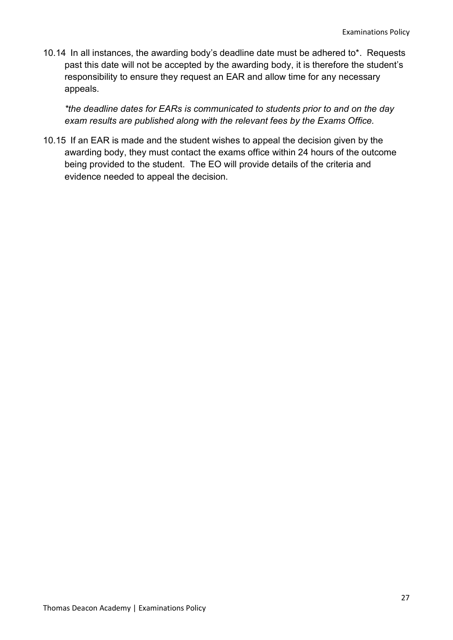10.14 In all instances, the awarding body's deadline date must be adhered to\*. Requests past this date will not be accepted by the awarding body, it is therefore the student's responsibility to ensure they request an EAR and allow time for any necessary appeals.

\*the deadline dates for EARs is communicated to students prior to and on the day exam results are published along with the relevant fees by the Exams Office.

10.15 If an EAR is made and the student wishes to appeal the decision given by the awarding body, they must contact the exams office within 24 hours of the outcome being provided to the student. The EO will provide details of the criteria and evidence needed to appeal the decision.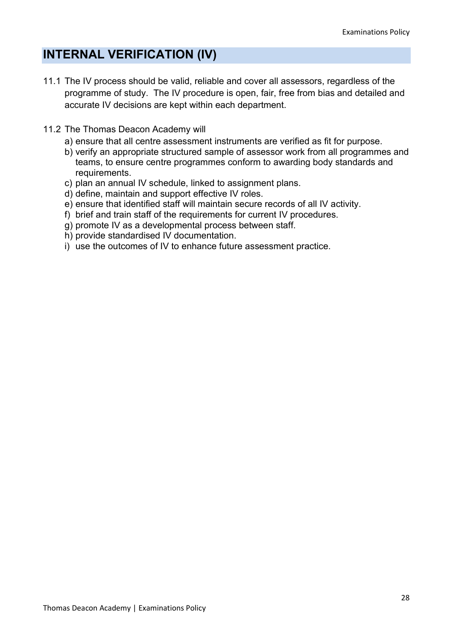## INTERNAL VERIFICATION (IV)

- 11.1 The IV process should be valid, reliable and cover all assessors, regardless of the programme of study. The IV procedure is open, fair, free from bias and detailed and accurate IV decisions are kept within each department.
- 11.2 The Thomas Deacon Academy will
	- a) ensure that all centre assessment instruments are verified as fit for purpose.
	- b) verify an appropriate structured sample of assessor work from all programmes and teams, to ensure centre programmes conform to awarding body standards and requirements.
	- c) plan an annual IV schedule, linked to assignment plans.
	- d) define, maintain and support effective IV roles.
	- e) ensure that identified staff will maintain secure records of all IV activity.
	- f) brief and train staff of the requirements for current IV procedures.
	- g) promote IV as a developmental process between staff.
	- h) provide standardised IV documentation.
	- i) use the outcomes of IV to enhance future assessment practice.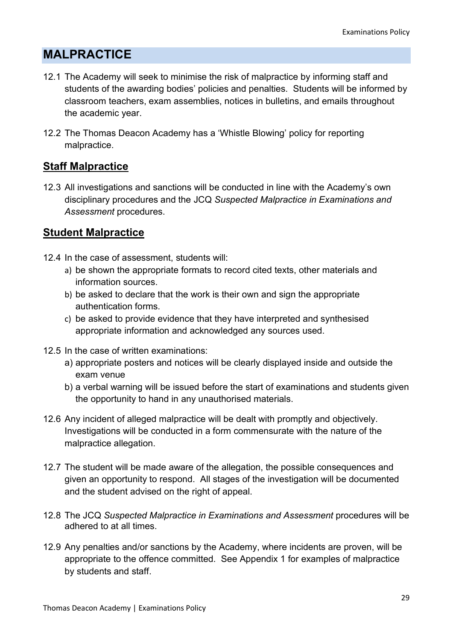## MALPRACTICE

- 12.1 The Academy will seek to minimise the risk of malpractice by informing staff and students of the awarding bodies' policies and penalties. Students will be informed by classroom teachers, exam assemblies, notices in bulletins, and emails throughout the academic year.
- 12.2 The Thomas Deacon Academy has a 'Whistle Blowing' policy for reporting malpractice.

## Staff Malpractice

12.3 All investigations and sanctions will be conducted in line with the Academy's own disciplinary procedures and the JCQ Suspected Malpractice in Examinations and Assessment procedures.

## Student Malpractice

- 12.4 In the case of assessment, students will:
	- a) be shown the appropriate formats to record cited texts, other materials and information sources.
	- b) be asked to declare that the work is their own and sign the appropriate authentication forms.
	- c) be asked to provide evidence that they have interpreted and synthesised appropriate information and acknowledged any sources used.
- 12.5 In the case of written examinations:
	- a) appropriate posters and notices will be clearly displayed inside and outside the exam venue
	- b) a verbal warning will be issued before the start of examinations and students given the opportunity to hand in any unauthorised materials.
- 12.6 Any incident of alleged malpractice will be dealt with promptly and objectively. Investigations will be conducted in a form commensurate with the nature of the malpractice allegation.
- 12.7 The student will be made aware of the allegation, the possible consequences and given an opportunity to respond. All stages of the investigation will be documented and the student advised on the right of appeal.
- 12.8 The JCQ Suspected Malpractice in Examinations and Assessment procedures will be adhered to at all times.
- 12.9 Any penalties and/or sanctions by the Academy, where incidents are proven, will be appropriate to the offence committed. See Appendix 1 for examples of malpractice by students and staff.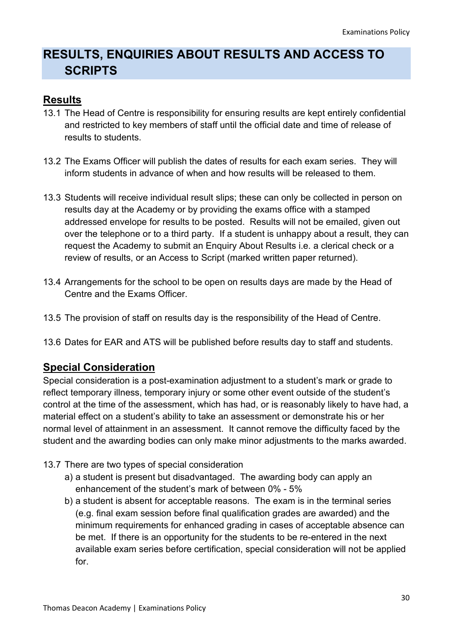## RESULTS, ENQUIRIES ABOUT RESULTS AND ACCESS TO **SCRIPTS**

### Results

- 13.1 The Head of Centre is responsibility for ensuring results are kept entirely confidential and restricted to key members of staff until the official date and time of release of results to students.
- 13.2 The Exams Officer will publish the dates of results for each exam series. They will inform students in advance of when and how results will be released to them.
- 13.3 Students will receive individual result slips; these can only be collected in person on results day at the Academy or by providing the exams office with a stamped addressed envelope for results to be posted. Results will not be emailed, given out over the telephone or to a third party. If a student is unhappy about a result, they can request the Academy to submit an Enquiry About Results i.e. a clerical check or a review of results, or an Access to Script (marked written paper returned).
- 13.4 Arrangements for the school to be open on results days are made by the Head of Centre and the Exams Officer.
- 13.5 The provision of staff on results day is the responsibility of the Head of Centre.
- 13.6 Dates for EAR and ATS will be published before results day to staff and students.

### Special Consideration

Special consideration is a post-examination adjustment to a student's mark or grade to reflect temporary illness, temporary injury or some other event outside of the student's control at the time of the assessment, which has had, or is reasonably likely to have had, a material effect on a student's ability to take an assessment or demonstrate his or her normal level of attainment in an assessment. It cannot remove the difficulty faced by the student and the awarding bodies can only make minor adjustments to the marks awarded.

- 13.7 There are two types of special consideration
	- a) a student is present but disadvantaged. The awarding body can apply an enhancement of the student's mark of between 0% - 5%
	- b) a student is absent for acceptable reasons. The exam is in the terminal series (e.g. final exam session before final qualification grades are awarded) and the minimum requirements for enhanced grading in cases of acceptable absence can be met. If there is an opportunity for the students to be re-entered in the next available exam series before certification, special consideration will not be applied for.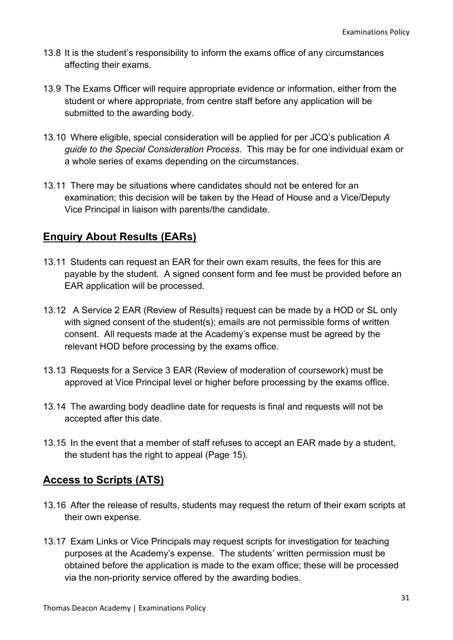- 13.8 It is the student's responsibility to inform the exams office of any circumstances affecting their exams.
- 13.9 The Exams Officer will require appropriate evidence or information, either from the student or where appropriate, from centre staff before any application will be submitted to the awarding body.
- 13.10 Where eligible, special consideration will be applied for per JCQ's publication A guide to the Special Consideration Process. This may be for one individual exam or a whole series of exams depending on the circumstances.
- 13.11 There may be situations where candidates should not be entered for an examination; this decision will be taken by the Head of House and a Vice/Deputy Vice Principal in liaison with parents/the candidate.

## Enquiry About Results (EARs)

- 13.11 Students can request an EAR for their own exam results, the fees for this are payable by the student. A signed consent form and fee must be provided before an EAR application will be processed.
- 13.12 A Service 2 EAR (Review of Results) request can be made by a HOD or SL only with signed consent of the student(s); emails are not permissible forms of written consent. All requests made at the Academy's expense must be agreed by the relevant HOD before processing by the exams office.
- 13.13 Requests for a Service 3 EAR (Review of moderation of coursework) must be approved at Vice Principal level or higher before processing by the exams office.
- 13.14 The awarding body deadline date for requests is final and requests will not be accepted after this date.
- 13.15 In the event that a member of staff refuses to accept an EAR made by a student, the student has the right to appeal (Page 15).

### Access to Scripts (ATS)

- 13.16 After the release of results, students may request the return of their exam scripts at their own expense.
- 13.17 Exam Links or Vice Principals may request scripts for investigation for teaching purposes at the Academy's expense. The students' written permission must be obtained before the application is made to the exam office; these will be processed via the non-priority service offered by the awarding bodies.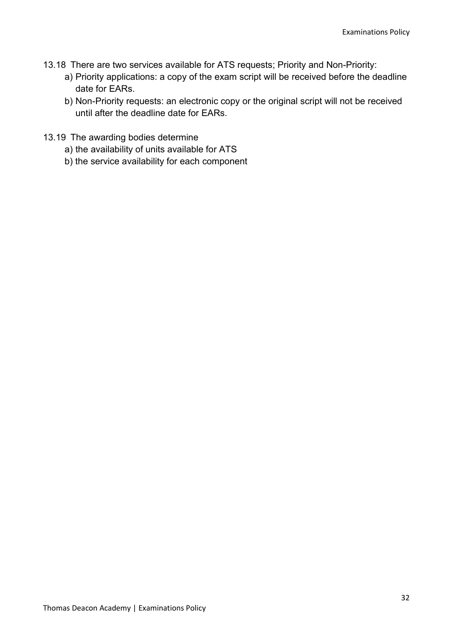- 13.18 There are two services available for ATS requests; Priority and Non-Priority:
	- a) Priority applications: a copy of the exam script will be received before the deadline date for EARs.
	- b) Non-Priority requests: an electronic copy or the original script will not be received until after the deadline date for EARs.
- 13.19 The awarding bodies determine
	- a) the availability of units available for ATS
	- b) the service availability for each component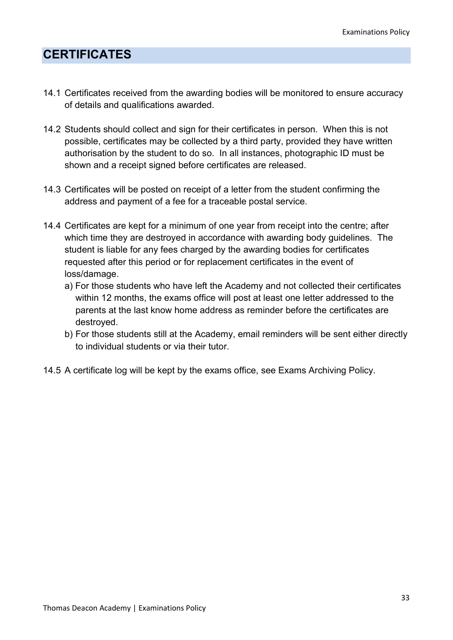## **CERTIFICATES**

- 14.1 Certificates received from the awarding bodies will be monitored to ensure accuracy of details and qualifications awarded.
- 14.2 Students should collect and sign for their certificates in person. When this is not possible, certificates may be collected by a third party, provided they have written authorisation by the student to do so. In all instances, photographic ID must be shown and a receipt signed before certificates are released.
- 14.3 Certificates will be posted on receipt of a letter from the student confirming the address and payment of a fee for a traceable postal service.
- 14.4 Certificates are kept for a minimum of one year from receipt into the centre; after which time they are destroyed in accordance with awarding body guidelines. The student is liable for any fees charged by the awarding bodies for certificates requested after this period or for replacement certificates in the event of loss/damage.
	- a) For those students who have left the Academy and not collected their certificates within 12 months, the exams office will post at least one letter addressed to the parents at the last know home address as reminder before the certificates are destroyed.
	- b) For those students still at the Academy, email reminders will be sent either directly to individual students or via their tutor.
- 14.5 A certificate log will be kept by the exams office, see Exams Archiving Policy.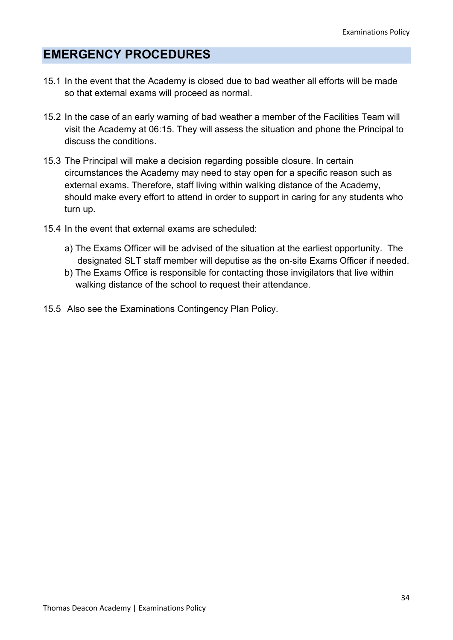## EMERGENCY PROCEDURES

- 15.1 In the event that the Academy is closed due to bad weather all efforts will be made so that external exams will proceed as normal.
- 15.2 In the case of an early warning of bad weather a member of the Facilities Team will visit the Academy at 06:15. They will assess the situation and phone the Principal to discuss the conditions.
- 15.3 The Principal will make a decision regarding possible closure. In certain circumstances the Academy may need to stay open for a specific reason such as external exams. Therefore, staff living within walking distance of the Academy, should make every effort to attend in order to support in caring for any students who turn up.
- 15.4 In the event that external exams are scheduled:
	- a) The Exams Officer will be advised of the situation at the earliest opportunity. The designated SLT staff member will deputise as the on-site Exams Officer if needed.
	- b) The Exams Office is responsible for contacting those invigilators that live within walking distance of the school to request their attendance.
- 15.5 Also see the Examinations Contingency Plan Policy.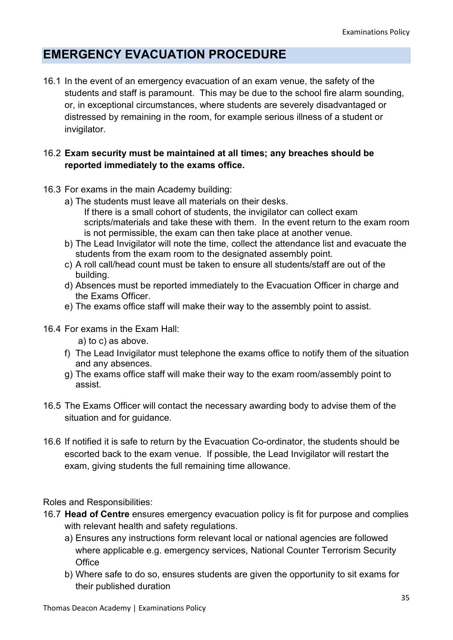## EMERGENCY EVACUATION PROCEDURE

16.1 In the event of an emergency evacuation of an exam venue, the safety of the students and staff is paramount. This may be due to the school fire alarm sounding, or, in exceptional circumstances, where students are severely disadvantaged or distressed by remaining in the room, for example serious illness of a student or invigilator.

#### 16.2 Exam security must be maintained at all times; any breaches should be reported immediately to the exams office.

- 16.3 For exams in the main Academy building:
	- a) The students must leave all materials on their desks. If there is a small cohort of students, the invigilator can collect exam scripts/materials and take these with them. In the event return to the exam room is not permissible, the exam can then take place at another venue.
	- b) The Lead Invigilator will note the time, collect the attendance list and evacuate the students from the exam room to the designated assembly point.
	- c) A roll call/head count must be taken to ensure all students/staff are out of the building.
	- d) Absences must be reported immediately to the Evacuation Officer in charge and the Exams Officer.
	- e) The exams office staff will make their way to the assembly point to assist.
- 16.4 For exams in the Exam Hall:
	- a) to c) as above.
	- f) The Lead Invigilator must telephone the exams office to notify them of the situation and any absences.
	- g) The exams office staff will make their way to the exam room/assembly point to assist.
- 16.5 The Exams Officer will contact the necessary awarding body to advise them of the situation and for quidance.
- 16.6 If notified it is safe to return by the Evacuation Co-ordinator, the students should be escorted back to the exam venue. If possible, the Lead Invigilator will restart the exam, giving students the full remaining time allowance.

#### Roles and Responsibilities:

- 16.7 Head of Centre ensures emergency evacuation policy is fit for purpose and complies with relevant health and safety regulations.
	- a) Ensures any instructions form relevant local or national agencies are followed where applicable e.g. emergency services, National Counter Terrorism Security **Office**
	- b) Where safe to do so, ensures students are given the opportunity to sit exams for their published duration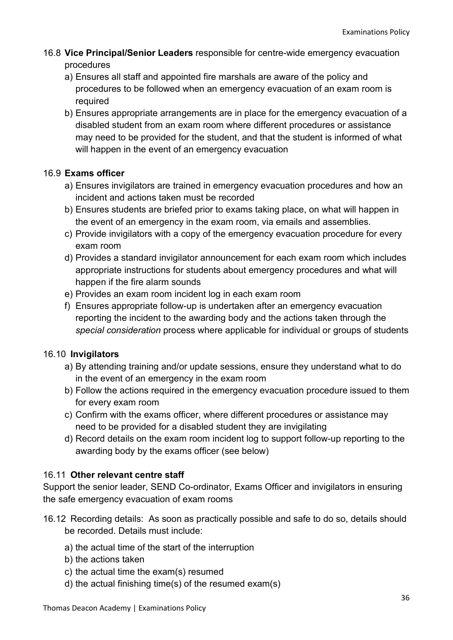- 16.8 Vice Principal/Senior Leaders responsible for centre-wide emergency evacuation procedures
	- a) Ensures all staff and appointed fire marshals are aware of the policy and procedures to be followed when an emergency evacuation of an exam room is required
	- b) Ensures appropriate arrangements are in place for the emergency evacuation of a disabled student from an exam room where different procedures or assistance may need to be provided for the student, and that the student is informed of what will happen in the event of an emergency evacuation

#### 16.9 Exams officer

- a) Ensures invigilators are trained in emergency evacuation procedures and how an incident and actions taken must be recorded
- b) Ensures students are briefed prior to exams taking place, on what will happen in the event of an emergency in the exam room, via emails and assemblies.
- c) Provide invigilators with a copy of the emergency evacuation procedure for every exam room
- d) Provides a standard invigilator announcement for each exam room which includes appropriate instructions for students about emergency procedures and what will happen if the fire alarm sounds
- e) Provides an exam room incident log in each exam room
- f) Ensures appropriate follow-up is undertaken after an emergency evacuation reporting the incident to the awarding body and the actions taken through the special consideration process where applicable for individual or groups of students

#### 16.10 Invigilators

- a) By attending training and/or update sessions, ensure they understand what to do in the event of an emergency in the exam room
- b) Follow the actions required in the emergency evacuation procedure issued to them for every exam room
- c) Confirm with the exams officer, where different procedures or assistance may need to be provided for a disabled student they are invigilating
- d) Record details on the exam room incident log to support follow-up reporting to the awarding body by the exams officer (see below)

#### 16.11 Other relevant centre staff

Support the senior leader, SEND Co-ordinator, Exams Officer and invigilators in ensuring the safe emergency evacuation of exam rooms

- 16.12 Recording details: As soon as practically possible and safe to do so, details should be recorded. Details must include:
	- a) the actual time of the start of the interruption
	- b) the actions taken
	- c) the actual time the exam(s) resumed
	- d) the actual finishing time(s) of the resumed exam(s)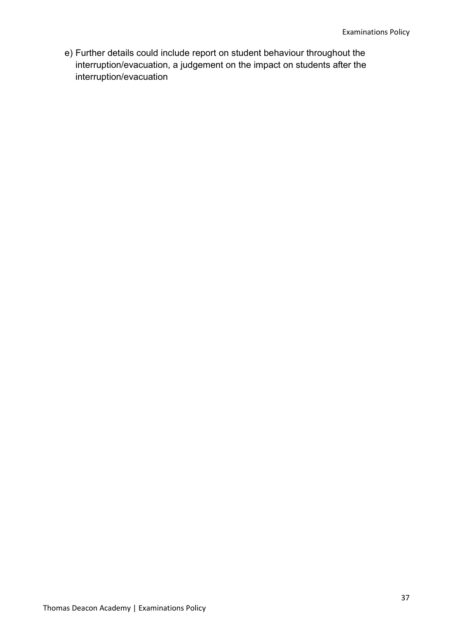e) Further details could include report on student behaviour throughout the interruption/evacuation, a judgement on the impact on students after the interruption/evacuation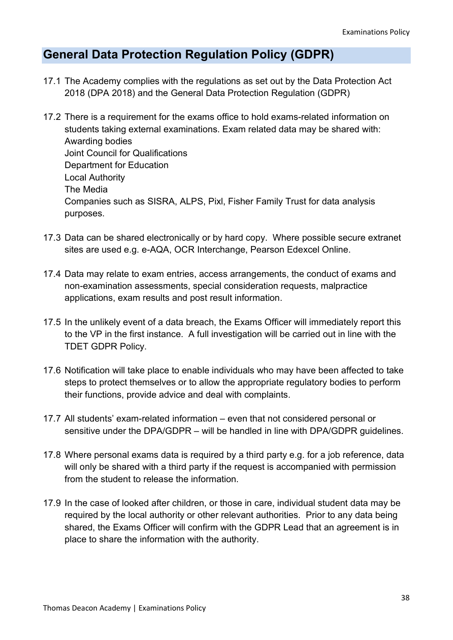## General Data Protection Regulation Policy (GDPR)

- 17.1 The Academy complies with the regulations as set out by the Data Protection Act 2018 (DPA 2018) and the General Data Protection Regulation (GDPR)
- 17.2 There is a requirement for the exams office to hold exams-related information on students taking external examinations. Exam related data may be shared with: Awarding bodies Joint Council for Qualifications Department for Education Local Authority The Media Companies such as SISRA, ALPS, Pixl, Fisher Family Trust for data analysis purposes.
- 17.3 Data can be shared electronically or by hard copy. Where possible secure extranet sites are used e.g. e-AQA, OCR Interchange, Pearson Edexcel Online.
- 17.4 Data may relate to exam entries, access arrangements, the conduct of exams and non-examination assessments, special consideration requests, malpractice applications, exam results and post result information.
- 17.5 In the unlikely event of a data breach, the Exams Officer will immediately report this to the VP in the first instance. A full investigation will be carried out in line with the TDET GDPR Policy.
- 17.6 Notification will take place to enable individuals who may have been affected to take steps to protect themselves or to allow the appropriate regulatory bodies to perform their functions, provide advice and deal with complaints.
- 17.7 All students' exam-related information even that not considered personal or sensitive under the DPA/GDPR – will be handled in line with DPA/GDPR guidelines.
- 17.8 Where personal exams data is required by a third party e.g. for a job reference, data will only be shared with a third party if the request is accompanied with permission from the student to release the information.
- 17.9 In the case of looked after children, or those in care, individual student data may be required by the local authority or other relevant authorities. Prior to any data being shared, the Exams Officer will confirm with the GDPR Lead that an agreement is in place to share the information with the authority.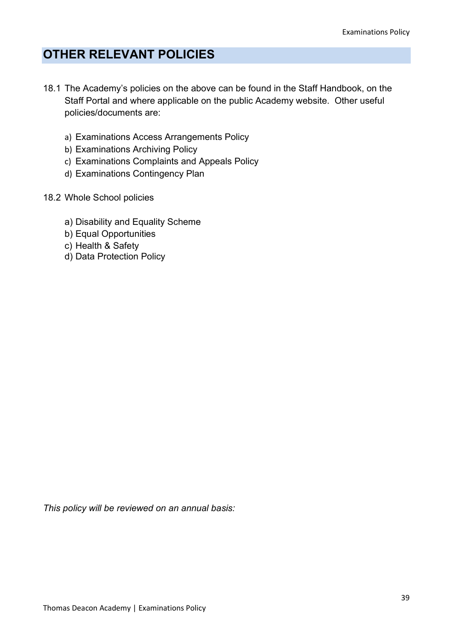## OTHER RELEVANT POLICIES

- 18.1 The Academy's policies on the above can be found in the Staff Handbook, on the Staff Portal and where applicable on the public Academy website. Other useful policies/documents are:
	- a) Examinations Access Arrangements Policy
	- b) Examinations Archiving Policy
	- c) Examinations Complaints and Appeals Policy
	- d) Examinations Contingency Plan
- 18.2 Whole School policies
	- a) Disability and Equality Scheme
	- b) Equal Opportunities
	- c) Health & Safety
	- d) Data Protection Policy

This policy will be reviewed on an annual basis: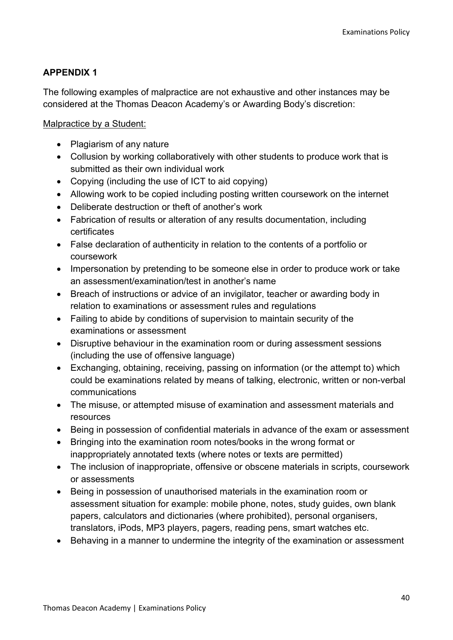#### APPENDIX 1

The following examples of malpractice are not exhaustive and other instances may be considered at the Thomas Deacon Academy's or Awarding Body's discretion:

Malpractice by a Student:

- Plagiarism of any nature
- Collusion by working collaboratively with other students to produce work that is submitted as their own individual work
- Copying (including the use of ICT to aid copying)
- Allowing work to be copied including posting written coursework on the internet
- Deliberate destruction or theft of another's work
- Fabrication of results or alteration of any results documentation, including certificates
- False declaration of authenticity in relation to the contents of a portfolio or coursework
- Impersonation by pretending to be someone else in order to produce work or take an assessment/examination/test in another's name
- Breach of instructions or advice of an invigilator, teacher or awarding body in relation to examinations or assessment rules and regulations
- Failing to abide by conditions of supervision to maintain security of the examinations or assessment
- Disruptive behaviour in the examination room or during assessment sessions (including the use of offensive language)
- Exchanging, obtaining, receiving, passing on information (or the attempt to) which could be examinations related by means of talking, electronic, written or non-verbal communications
- The misuse, or attempted misuse of examination and assessment materials and resources
- Being in possession of confidential materials in advance of the exam or assessment
- Bringing into the examination room notes/books in the wrong format or inappropriately annotated texts (where notes or texts are permitted)
- The inclusion of inappropriate, offensive or obscene materials in scripts, coursework or assessments
- Being in possession of unauthorised materials in the examination room or assessment situation for example: mobile phone, notes, study guides, own blank papers, calculators and dictionaries (where prohibited), personal organisers, translators, iPods, MP3 players, pagers, reading pens, smart watches etc.
- Behaving in a manner to undermine the integrity of the examination or assessment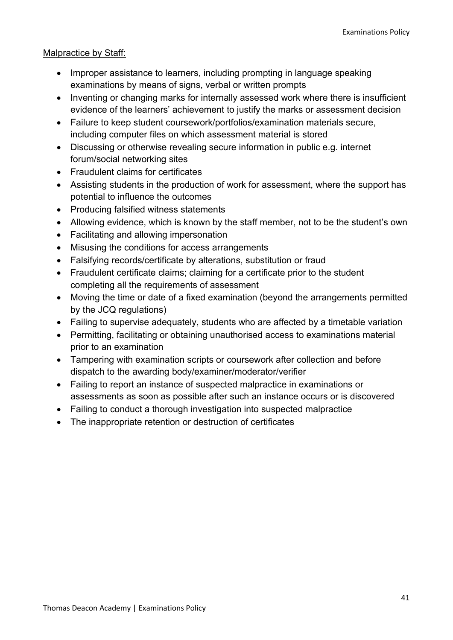#### Malpractice by Staff:

- Improper assistance to learners, including prompting in language speaking examinations by means of signs, verbal or written prompts
- Inventing or changing marks for internally assessed work where there is insufficient evidence of the learners' achievement to justify the marks or assessment decision
- Failure to keep student coursework/portfolios/examination materials secure, including computer files on which assessment material is stored
- Discussing or otherwise revealing secure information in public e.g. internet forum/social networking sites
- Fraudulent claims for certificates
- Assisting students in the production of work for assessment, where the support has potential to influence the outcomes
- Producing falsified witness statements
- Allowing evidence, which is known by the staff member, not to be the student's own
- Facilitating and allowing impersonation
- Misusing the conditions for access arrangements
- Falsifying records/certificate by alterations, substitution or fraud
- Fraudulent certificate claims; claiming for a certificate prior to the student completing all the requirements of assessment
- Moving the time or date of a fixed examination (beyond the arrangements permitted by the JCQ regulations)
- Failing to supervise adequately, students who are affected by a timetable variation
- Permitting, facilitating or obtaining unauthorised access to examinations material prior to an examination
- Tampering with examination scripts or coursework after collection and before dispatch to the awarding body/examiner/moderator/verifier
- Failing to report an instance of suspected malpractice in examinations or assessments as soon as possible after such an instance occurs or is discovered
- Failing to conduct a thorough investigation into suspected malpractice
- The inappropriate retention or destruction of certificates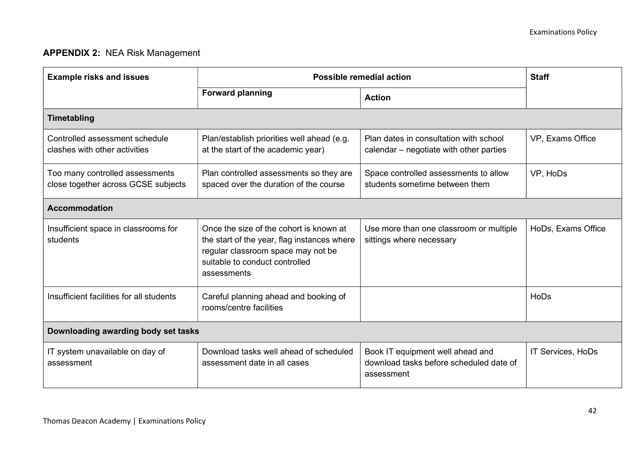## APPENDIX 2: NEA Risk Management

| <b>Example risks and issues</b>                                        | <b>Possible remedial action</b>                                                                                                                                               | <b>Staff</b>                                                                              |                    |  |
|------------------------------------------------------------------------|-------------------------------------------------------------------------------------------------------------------------------------------------------------------------------|-------------------------------------------------------------------------------------------|--------------------|--|
|                                                                        | <b>Forward planning</b>                                                                                                                                                       | <b>Action</b>                                                                             |                    |  |
| <b>Timetabling</b>                                                     |                                                                                                                                                                               |                                                                                           |                    |  |
| Controlled assessment schedule<br>clashes with other activities        | Plan/establish priorities well ahead (e.g.<br>at the start of the academic year)                                                                                              | Plan dates in consultation with school<br>calendar – negotiate with other parties         | VP, Exams Office   |  |
| Too many controlled assessments<br>close together across GCSE subjects | Plan controlled assessments so they are<br>spaced over the duration of the course                                                                                             | Space controlled assessments to allow<br>students sometime between them                   | VP, HoDs           |  |
| <b>Accommodation</b>                                                   |                                                                                                                                                                               |                                                                                           |                    |  |
| Insufficient space in classrooms for<br>students                       | Once the size of the cohort is known at<br>the start of the year, flag instances where<br>regular classroom space may not be<br>suitable to conduct controlled<br>assessments | Use more than one classroom or multiple<br>sittings where necessary                       | HoDs, Exams Office |  |
| Insufficient facilities for all students                               | Careful planning ahead and booking of<br>rooms/centre facilities                                                                                                              |                                                                                           | HoDs               |  |
| Downloading awarding body set tasks                                    |                                                                                                                                                                               |                                                                                           |                    |  |
| IT system unavailable on day of<br>assessment                          | Download tasks well ahead of scheduled<br>assessment date in all cases                                                                                                        | Book IT equipment well ahead and<br>download tasks before scheduled date of<br>assessment | IT Services, HoDs  |  |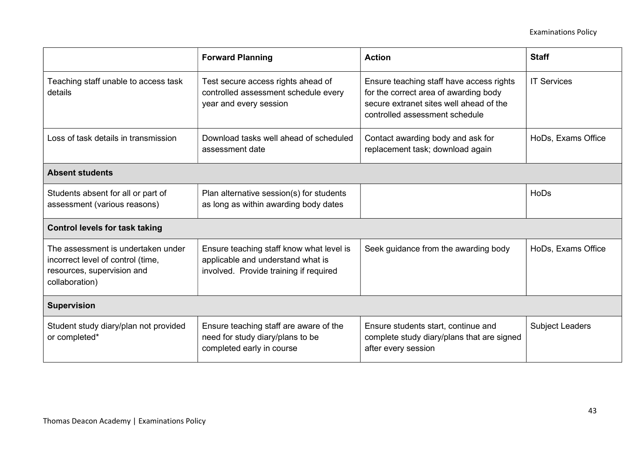|                                                                                                                         | <b>Forward Planning</b>                                                                                                 | <b>Action</b>                                                                                                                                                  | <b>Staff</b>           |
|-------------------------------------------------------------------------------------------------------------------------|-------------------------------------------------------------------------------------------------------------------------|----------------------------------------------------------------------------------------------------------------------------------------------------------------|------------------------|
| Teaching staff unable to access task<br>details                                                                         | Test secure access rights ahead of<br>controlled assessment schedule every<br>year and every session                    | Ensure teaching staff have access rights<br>for the correct area of awarding body<br>secure extranet sites well ahead of the<br>controlled assessment schedule | <b>IT Services</b>     |
| Loss of task details in transmission                                                                                    | Download tasks well ahead of scheduled<br>assessment date                                                               | Contact awarding body and ask for<br>replacement task; download again                                                                                          | HoDs, Exams Office     |
| <b>Absent students</b>                                                                                                  |                                                                                                                         |                                                                                                                                                                |                        |
| Students absent for all or part of<br>assessment (various reasons)                                                      | Plan alternative session(s) for students<br>as long as within awarding body dates                                       |                                                                                                                                                                | <b>HoDs</b>            |
| <b>Control levels for task taking</b>                                                                                   |                                                                                                                         |                                                                                                                                                                |                        |
| The assessment is undertaken under<br>incorrect level of control (time,<br>resources, supervision and<br>collaboration) | Ensure teaching staff know what level is<br>applicable and understand what is<br>involved. Provide training if required | Seek guidance from the awarding body                                                                                                                           | HoDs, Exams Office     |
| <b>Supervision</b>                                                                                                      |                                                                                                                         |                                                                                                                                                                |                        |
| Student study diary/plan not provided<br>or completed*                                                                  | Ensure teaching staff are aware of the<br>need for study diary/plans to be<br>completed early in course                 | Ensure students start, continue and<br>complete study diary/plans that are signed<br>after every session                                                       | <b>Subject Leaders</b> |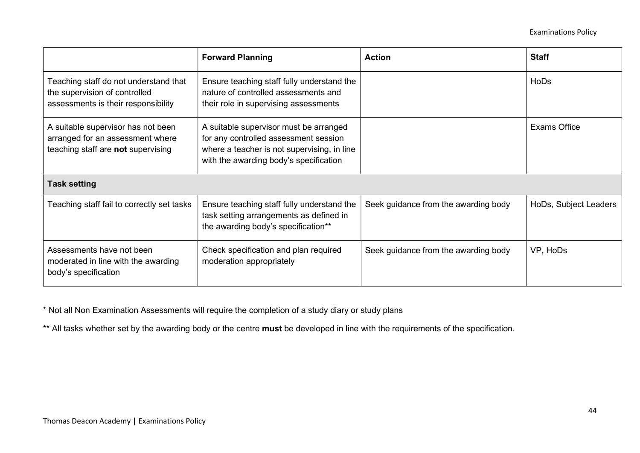|                                                                                                               | <b>Forward Planning</b>                                                                                                                                                  | <b>Action</b>                        | <b>Staff</b>          |
|---------------------------------------------------------------------------------------------------------------|--------------------------------------------------------------------------------------------------------------------------------------------------------------------------|--------------------------------------|-----------------------|
| Teaching staff do not understand that<br>the supervision of controlled<br>assessments is their responsibility | Ensure teaching staff fully understand the<br>nature of controlled assessments and<br>their role in supervising assessments                                              |                                      | HoDs                  |
| A suitable supervisor has not been<br>arranged for an assessment where<br>teaching staff are not supervising  | A suitable supervisor must be arranged<br>for any controlled assessment session<br>where a teacher is not supervising, in line<br>with the awarding body's specification |                                      | <b>Exams Office</b>   |
| <b>Task setting</b>                                                                                           |                                                                                                                                                                          |                                      |                       |
| Teaching staff fail to correctly set tasks                                                                    | Ensure teaching staff fully understand the<br>task setting arrangements as defined in<br>the awarding body's specification**                                             | Seek guidance from the awarding body | HoDs, Subject Leaders |
| Assessments have not been<br>moderated in line with the awarding<br>body's specification                      | Check specification and plan required<br>moderation appropriately                                                                                                        | Seek guidance from the awarding body | VP, HoDs              |

\* Not all Non Examination Assessments will require the completion of a study diary or study plans

\*\* All tasks whether set by the awarding body or the centre must be developed in line with the requirements of the specification.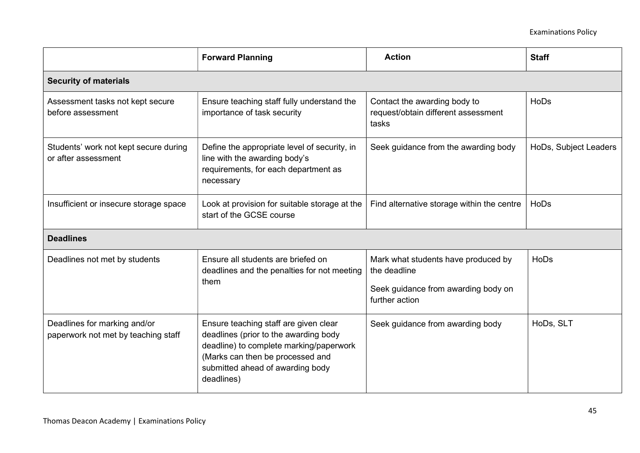|                                                                     | <b>Forward Planning</b>                                                                                                                                                                                         | <b>Action</b>                                                                                                | <b>Staff</b>          |  |
|---------------------------------------------------------------------|-----------------------------------------------------------------------------------------------------------------------------------------------------------------------------------------------------------------|--------------------------------------------------------------------------------------------------------------|-----------------------|--|
| <b>Security of materials</b>                                        |                                                                                                                                                                                                                 |                                                                                                              |                       |  |
| Assessment tasks not kept secure<br>before assessment               | Ensure teaching staff fully understand the<br>importance of task security                                                                                                                                       | Contact the awarding body to<br>request/obtain different assessment<br>tasks                                 | <b>HoDs</b>           |  |
| Students' work not kept secure during<br>or after assessment        | Define the appropriate level of security, in<br>line with the awarding body's<br>requirements, for each department as<br>necessary                                                                              | Seek guidance from the awarding body                                                                         | HoDs, Subject Leaders |  |
| Insufficient or insecure storage space                              | Look at provision for suitable storage at the<br>start of the GCSE course                                                                                                                                       | Find alternative storage within the centre                                                                   | HoDs                  |  |
| <b>Deadlines</b>                                                    |                                                                                                                                                                                                                 |                                                                                                              |                       |  |
| Deadlines not met by students                                       | Ensure all students are briefed on<br>deadlines and the penalties for not meeting<br>them                                                                                                                       | Mark what students have produced by<br>the deadline<br>Seek guidance from awarding body on<br>further action | HoDs                  |  |
| Deadlines for marking and/or<br>paperwork not met by teaching staff | Ensure teaching staff are given clear<br>deadlines (prior to the awarding body<br>deadline) to complete marking/paperwork<br>(Marks can then be processed and<br>submitted ahead of awarding body<br>deadlines) | Seek guidance from awarding body                                                                             | HoDs, SLT             |  |